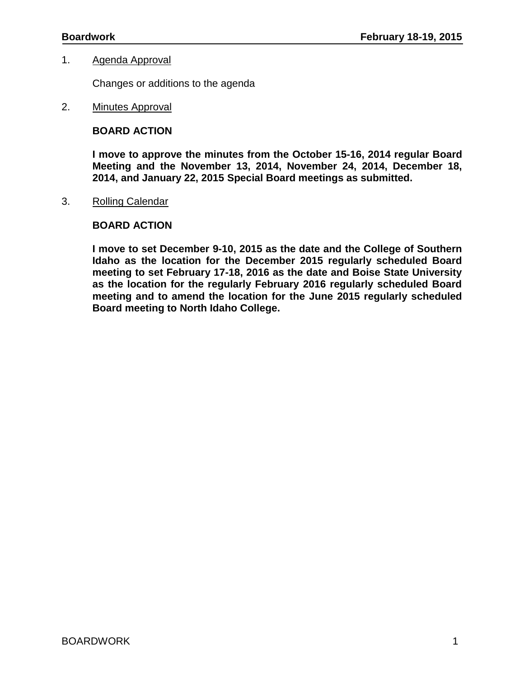# 1. Agenda Approval

Changes or additions to the agenda

2. Minutes Approval

# **BOARD ACTION**

**I move to approve the minutes from the October 15-16, 2014 regular Board Meeting and the November 13, 2014, November 24, 2014, December 18, 2014, and January 22, 2015 Special Board meetings as submitted.**

3. Rolling Calendar

# **BOARD ACTION**

**I move to set December 9-10, 2015 as the date and the College of Southern Idaho as the location for the December 2015 regularly scheduled Board meeting to set February 17-18, 2016 as the date and Boise State University as the location for the regularly February 2016 regularly scheduled Board meeting and to amend the location for the June 2015 regularly scheduled Board meeting to North Idaho College.**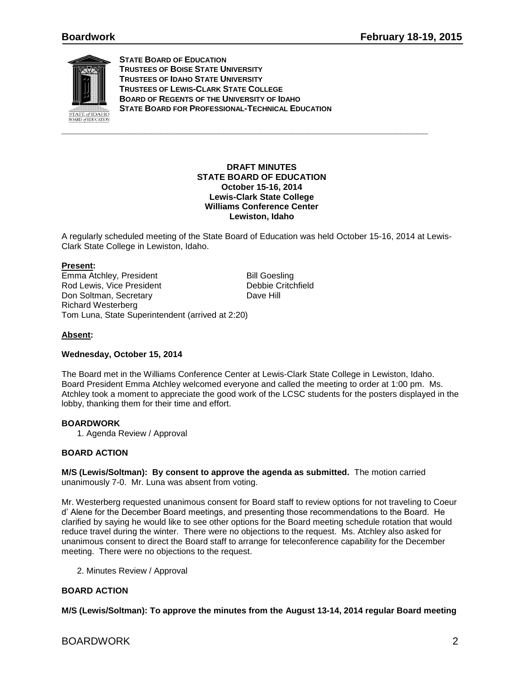

**STATE BOARD OF EDUCATION TRUSTEES OF BOISE STATE UNIVERSITY TRUSTEES OF IDAHO STATE UNIVERSITY TRUSTEES OF LEWIS-CLARK STATE COLLEGE BOARD OF REGENTS OF THE UNIVERSITY OF IDAHO STATE BOARD FOR PROFESSIONAL-TECHNICAL EDUCATION**

#### **DRAFT MINUTES STATE BOARD OF EDUCATION October 15-16, 2014 Lewis-Clark State College Williams Conference Center Lewiston, Idaho**

A regularly scheduled meeting of the State Board of Education was held October 15-16, 2014 at Lewis-Clark State College in Lewiston, Idaho.

### **Present:**

Emma Atchley, President Bill Goesling Rod Lewis, Vice President Debbie Critchfield Don Soltman, Secretary **Dave Hill** Richard Westerberg Tom Luna, State Superintendent (arrived at 2:20)

## **Absent:**

### **Wednesday, October 15, 2014**

The Board met in the Williams Conference Center at Lewis-Clark State College in Lewiston, Idaho. Board President Emma Atchley welcomed everyone and called the meeting to order at 1:00 pm. Ms. Atchley took a moment to appreciate the good work of the LCSC students for the posters displayed in the lobby, thanking them for their time and effort.

### **BOARDWORK**

1. Agenda Review / Approval

# **BOARD ACTION**

**M/S (Lewis/Soltman): By consent to approve the agenda as submitted.** The motion carried unanimously 7-0. Mr. Luna was absent from voting.

Mr. Westerberg requested unanimous consent for Board staff to review options for not traveling to Coeur d' Alene for the December Board meetings, and presenting those recommendations to the Board. He clarified by saying he would like to see other options for the Board meeting schedule rotation that would reduce travel during the winter. There were no objections to the request. Ms. Atchley also asked for unanimous consent to direct the Board staff to arrange for teleconference capability for the December meeting. There were no objections to the request.

### 2. Minutes Review / Approval

# **BOARD ACTION**

**M/S (Lewis/Soltman): To approve the minutes from the August 13-14, 2014 regular Board meeting**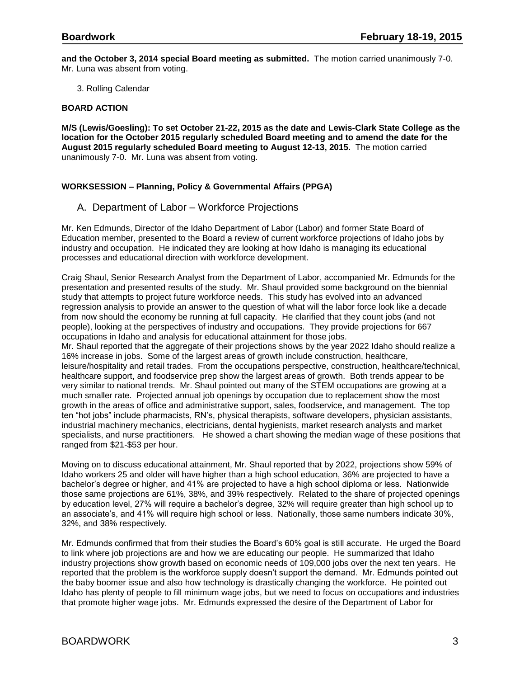**and the October 3, 2014 special Board meeting as submitted.** The motion carried unanimously 7-0. Mr. Luna was absent from voting.

3. Rolling Calendar

## **BOARD ACTION**

**M/S (Lewis/Goesling): To set October 21-22, 2015 as the date and Lewis-Clark State College as the location for the October 2015 regularly scheduled Board meeting and to amend the date for the August 2015 regularly scheduled Board meeting to August 12-13, 2015.** The motion carried unanimously 7-0. Mr. Luna was absent from voting.

## **WORKSESSION – Planning, Policy & Governmental Affairs (PPGA)**

A. Department of Labor – Workforce Projections

Mr. Ken Edmunds, Director of the Idaho Department of Labor (Labor) and former State Board of Education member, presented to the Board a review of current workforce projections of Idaho jobs by industry and occupation. He indicated they are looking at how Idaho is managing its educational processes and educational direction with workforce development.

Craig Shaul, Senior Research Analyst from the Department of Labor, accompanied Mr. Edmunds for the presentation and presented results of the study. Mr. Shaul provided some background on the biennial study that attempts to project future workforce needs. This study has evolved into an advanced regression analysis to provide an answer to the question of what will the labor force look like a decade from now should the economy be running at full capacity. He clarified that they count jobs (and not people), looking at the perspectives of industry and occupations. They provide projections for 667 occupations in Idaho and analysis for educational attainment for those jobs.

Mr. Shaul reported that the aggregate of their projections shows by the year 2022 Idaho should realize a 16% increase in jobs. Some of the largest areas of growth include construction, healthcare, leisure/hospitality and retail trades. From the occupations perspective, construction, healthcare/technical, healthcare support, and foodservice prep show the largest areas of growth. Both trends appear to be very similar to national trends. Mr. Shaul pointed out many of the STEM occupations are growing at a much smaller rate. Projected annual job openings by occupation due to replacement show the most growth in the areas of office and administrative support, sales, foodservice, and management. The top ten "hot jobs" include pharmacists, RN's, physical therapists, software developers, physician assistants, industrial machinery mechanics, electricians, dental hygienists, market research analysts and market specialists, and nurse practitioners. He showed a chart showing the median wage of these positions that ranged from \$21-\$53 per hour.

Moving on to discuss educational attainment, Mr. Shaul reported that by 2022, projections show 59% of Idaho workers 25 and older will have higher than a high school education, 36% are projected to have a bachelor's degree or higher, and 41% are projected to have a high school diploma or less. Nationwide those same projections are 61%, 38%, and 39% respectively. Related to the share of projected openings by education level, 27% will require a bachelor's degree, 32% will require greater than high school up to an associate's, and 41% will require high school or less. Nationally, those same numbers indicate 30%, 32%, and 38% respectively.

Mr. Edmunds confirmed that from their studies the Board's 60% goal is still accurate. He urged the Board to link where job projections are and how we are educating our people. He summarized that Idaho industry projections show growth based on economic needs of 109,000 jobs over the next ten years. He reported that the problem is the workforce supply doesn't support the demand. Mr. Edmunds pointed out the baby boomer issue and also how technology is drastically changing the workforce. He pointed out Idaho has plenty of people to fill minimum wage jobs, but we need to focus on occupations and industries that promote higher wage jobs. Mr. Edmunds expressed the desire of the Department of Labor for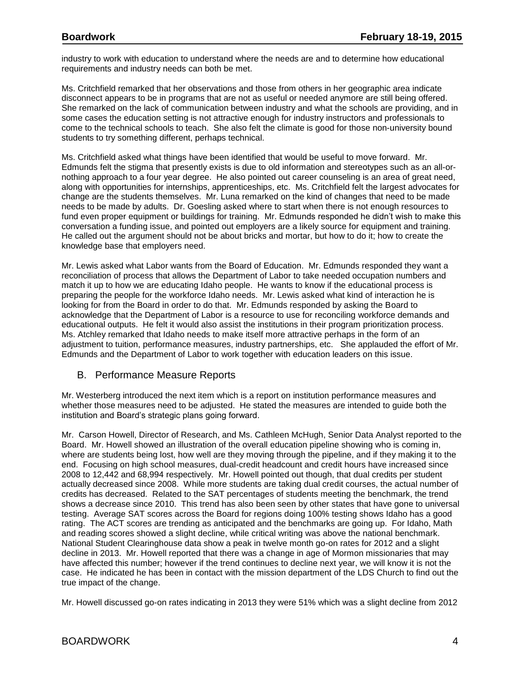industry to work with education to understand where the needs are and to determine how educational requirements and industry needs can both be met.

Ms. Critchfield remarked that her observations and those from others in her geographic area indicate disconnect appears to be in programs that are not as useful or needed anymore are still being offered. She remarked on the lack of communication between industry and what the schools are providing, and in some cases the education setting is not attractive enough for industry instructors and professionals to come to the technical schools to teach. She also felt the climate is good for those non-university bound students to try something different, perhaps technical.

Ms. Critchfield asked what things have been identified that would be useful to move forward. Mr. Edmunds felt the stigma that presently exists is due to old information and stereotypes such as an all-ornothing approach to a four year degree. He also pointed out career counseling is an area of great need, along with opportunities for internships, apprenticeships, etc. Ms. Critchfield felt the largest advocates for change are the students themselves. Mr. Luna remarked on the kind of changes that need to be made needs to be made by adults. Dr. Goesling asked where to start when there is not enough resources to fund even proper equipment or buildings for training. Mr. Edmunds responded he didn't wish to make this conversation a funding issue, and pointed out employers are a likely source for equipment and training. He called out the argument should not be about bricks and mortar, but how to do it; how to create the knowledge base that employers need.

Mr. Lewis asked what Labor wants from the Board of Education. Mr. Edmunds responded they want a reconciliation of process that allows the Department of Labor to take needed occupation numbers and match it up to how we are educating Idaho people. He wants to know if the educational process is preparing the people for the workforce Idaho needs. Mr. Lewis asked what kind of interaction he is looking for from the Board in order to do that. Mr. Edmunds responded by asking the Board to acknowledge that the Department of Labor is a resource to use for reconciling workforce demands and educational outputs. He felt it would also assist the institutions in their program prioritization process. Ms. Atchley remarked that Idaho needs to make itself more attractive perhaps in the form of an adjustment to tuition, performance measures, industry partnerships, etc. She applauded the effort of Mr. Edmunds and the Department of Labor to work together with education leaders on this issue.

# B. Performance Measure Reports

Mr. Westerberg introduced the next item which is a report on institution performance measures and whether those measures need to be adjusted. He stated the measures are intended to guide both the institution and Board's strategic plans going forward.

Mr. Carson Howell, Director of Research, and Ms. Cathleen McHugh, Senior Data Analyst reported to the Board. Mr. Howell showed an illustration of the overall education pipeline showing who is coming in, where are students being lost, how well are they moving through the pipeline, and if they making it to the end. Focusing on high school measures, dual-credit headcount and credit hours have increased since 2008 to 12,442 and 68,994 respectively. Mr. Howell pointed out though, that dual credits per student actually decreased since 2008. While more students are taking dual credit courses, the actual number of credits has decreased. Related to the SAT percentages of students meeting the benchmark, the trend shows a decrease since 2010. This trend has also been seen by other states that have gone to universal testing. Average SAT scores across the Board for regions doing 100% testing shows Idaho has a good rating. The ACT scores are trending as anticipated and the benchmarks are going up. For Idaho, Math and reading scores showed a slight decline, while critical writing was above the national benchmark. National Student Clearinghouse data show a peak in twelve month go-on rates for 2012 and a slight decline in 2013. Mr. Howell reported that there was a change in age of Mormon missionaries that may have affected this number; however if the trend continues to decline next year, we will know it is not the case. He indicated he has been in contact with the mission department of the LDS Church to find out the true impact of the change.

Mr. Howell discussed go-on rates indicating in 2013 they were 51% which was a slight decline from 2012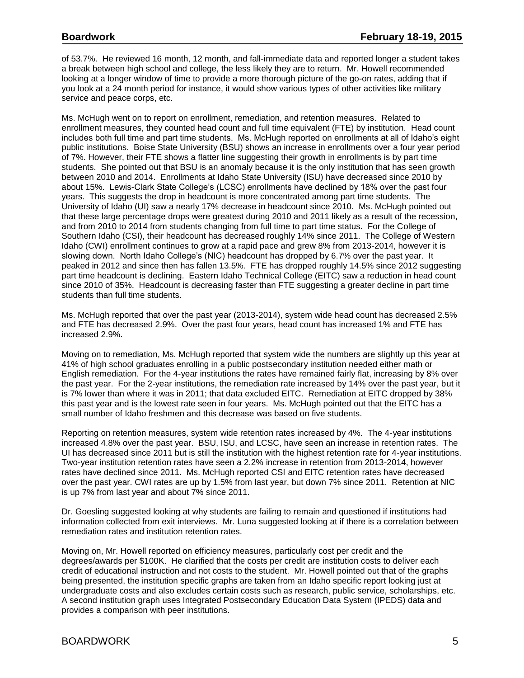of 53.7%. He reviewed 16 month, 12 month, and fall-immediate data and reported longer a student takes a break between high school and college, the less likely they are to return. Mr. Howell recommended looking at a longer window of time to provide a more thorough picture of the go-on rates, adding that if you look at a 24 month period for instance, it would show various types of other activities like military service and peace corps, etc.

Ms. McHugh went on to report on enrollment, remediation, and retention measures. Related to enrollment measures, they counted head count and full time equivalent (FTE) by institution. Head count includes both full time and part time students. Ms. McHugh reported on enrollments at all of Idaho's eight public institutions. Boise State University (BSU) shows an increase in enrollments over a four year period of 7%. However, their FTE shows a flatter line suggesting their growth in enrollments is by part time students. She pointed out that BSU is an anomaly because it is the only institution that has seen growth between 2010 and 2014. Enrollments at Idaho State University (ISU) have decreased since 2010 by about 15%. Lewis-Clark State College's (LCSC) enrollments have declined by 18% over the past four years. This suggests the drop in headcount is more concentrated among part time students. The University of Idaho (UI) saw a nearly 17% decrease in headcount since 2010. Ms. McHugh pointed out that these large percentage drops were greatest during 2010 and 2011 likely as a result of the recession, and from 2010 to 2014 from students changing from full time to part time status. For the College of Southern Idaho (CSI), their headcount has decreased roughly 14% since 2011. The College of Western Idaho (CWI) enrollment continues to grow at a rapid pace and grew 8% from 2013-2014, however it is slowing down. North Idaho College's (NIC) headcount has dropped by 6.7% over the past year. It peaked in 2012 and since then has fallen 13.5%. FTE has dropped roughly 14.5% since 2012 suggesting part time headcount is declining. Eastern Idaho Technical College (EITC) saw a reduction in head count since 2010 of 35%. Headcount is decreasing faster than FTE suggesting a greater decline in part time students than full time students.

Ms. McHugh reported that over the past year (2013-2014), system wide head count has decreased 2.5% and FTE has decreased 2.9%. Over the past four years, head count has increased 1% and FTE has increased 2.9%.

Moving on to remediation, Ms. McHugh reported that system wide the numbers are slightly up this year at 41% of high school graduates enrolling in a public postsecondary institution needed either math or English remediation. For the 4-year institutions the rates have remained fairly flat, increasing by 8% over the past year. For the 2-year institutions, the remediation rate increased by 14% over the past year, but it is 7% lower than where it was in 2011; that data excluded EITC. Remediation at EITC dropped by 38% this past year and is the lowest rate seen in four years. Ms. McHugh pointed out that the EITC has a small number of Idaho freshmen and this decrease was based on five students.

Reporting on retention measures, system wide retention rates increased by 4%. The 4-year institutions increased 4.8% over the past year. BSU, ISU, and LCSC, have seen an increase in retention rates. The UI has decreased since 2011 but is still the institution with the highest retention rate for 4-year institutions. Two-year institution retention rates have seen a 2.2% increase in retention from 2013-2014, however rates have declined since 2011. Ms. McHugh reported CSI and EITC retention rates have decreased over the past year. CWI rates are up by 1.5% from last year, but down 7% since 2011. Retention at NIC is up 7% from last year and about 7% since 2011.

Dr. Goesling suggested looking at why students are failing to remain and questioned if institutions had information collected from exit interviews. Mr. Luna suggested looking at if there is a correlation between remediation rates and institution retention rates.

Moving on, Mr. Howell reported on efficiency measures, particularly cost per credit and the degrees/awards per \$100K. He clarified that the costs per credit are institution costs to deliver each credit of educational instruction and not costs to the student. Mr. Howell pointed out that of the graphs being presented, the institution specific graphs are taken from an Idaho specific report looking just at undergraduate costs and also excludes certain costs such as research, public service, scholarships, etc. A second institution graph uses Integrated Postsecondary Education Data System (IPEDS) data and provides a comparison with peer institutions.

# BOARDWORK 5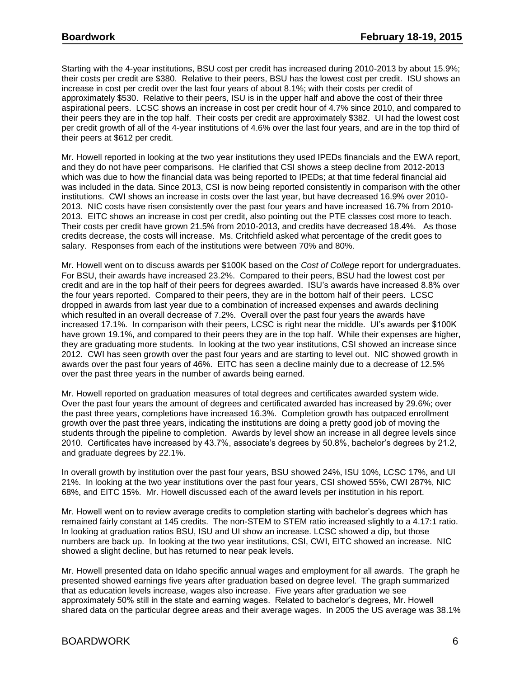Starting with the 4-year institutions, BSU cost per credit has increased during 2010-2013 by about 15.9%; their costs per credit are \$380. Relative to their peers, BSU has the lowest cost per credit. ISU shows an increase in cost per credit over the last four years of about 8.1%; with their costs per credit of approximately \$530. Relative to their peers, ISU is in the upper half and above the cost of their three aspirational peers. LCSC shows an increase in cost per credit hour of 4.7% since 2010, and compared to their peers they are in the top half. Their costs per credit are approximately \$382. UI had the lowest cost per credit growth of all of the 4-year institutions of 4.6% over the last four years, and are in the top third of their peers at \$612 per credit.

Mr. Howell reported in looking at the two year institutions they used IPEDs financials and the EWA report, and they do not have peer comparisons. He clarified that CSI shows a steep decline from 2012-2013 which was due to how the financial data was being reported to IPEDs; at that time federal financial aid was included in the data. Since 2013, CSI is now being reported consistently in comparison with the other institutions. CWI shows an increase in costs over the last year, but have decreased 16.9% over 2010- 2013. NIC costs have risen consistently over the past four years and have increased 16.7% from 2010- 2013. EITC shows an increase in cost per credit, also pointing out the PTE classes cost more to teach. Their costs per credit have grown 21.5% from 2010-2013, and credits have decreased 18.4%. As those credits decrease, the costs will increase. Ms. Critchfield asked what percentage of the credit goes to salary. Responses from each of the institutions were between 70% and 80%.

Mr. Howell went on to discuss awards per \$100K based on the *Cost of College* report for undergraduates. For BSU, their awards have increased 23.2%. Compared to their peers, BSU had the lowest cost per credit and are in the top half of their peers for degrees awarded. ISU's awards have increased 8.8% over the four years reported. Compared to their peers, they are in the bottom half of their peers. LCSC dropped in awards from last year due to a combination of increased expenses and awards declining which resulted in an overall decrease of 7.2%. Overall over the past four years the awards have increased 17.1%. In comparison with their peers, LCSC is right near the middle. UI's awards per \$100K have grown 19.1%, and compared to their peers they are in the top half. While their expenses are higher, they are graduating more students. In looking at the two year institutions, CSI showed an increase since 2012. CWI has seen growth over the past four years and are starting to level out. NIC showed growth in awards over the past four years of 46%. EITC has seen a decline mainly due to a decrease of 12.5% over the past three years in the number of awards being earned.

Mr. Howell reported on graduation measures of total degrees and certificates awarded system wide. Over the past four years the amount of degrees and certificated awarded has increased by 29.6%; over the past three years, completions have increased 16.3%. Completion growth has outpaced enrollment growth over the past three years, indicating the institutions are doing a pretty good job of moving the students through the pipeline to completion. Awards by level show an increase in all degree levels since 2010. Certificates have increased by 43.7%, associate's degrees by 50.8%, bachelor's degrees by 21.2, and graduate degrees by 22.1%.

In overall growth by institution over the past four years, BSU showed 24%, ISU 10%, LCSC 17%, and UI 21%. In looking at the two year institutions over the past four years, CSI showed 55%, CWI 287%, NIC 68%, and EITC 15%. Mr. Howell discussed each of the award levels per institution in his report.

Mr. Howell went on to review average credits to completion starting with bachelor's degrees which has remained fairly constant at 145 credits. The non-STEM to STEM ratio increased slightly to a 4.17:1 ratio. In looking at graduation ratios BSU, ISU and UI show an increase. LCSC showed a dip, but those numbers are back up. In looking at the two year institutions, CSI, CWI, EITC showed an increase. NIC showed a slight decline, but has returned to near peak levels.

Mr. Howell presented data on Idaho specific annual wages and employment for all awards. The graph he presented showed earnings five years after graduation based on degree level. The graph summarized that as education levels increase, wages also increase. Five years after graduation we see approximately 50% still in the state and earning wages. Related to bachelor's degrees, Mr. Howell shared data on the particular degree areas and their average wages. In 2005 the US average was 38.1%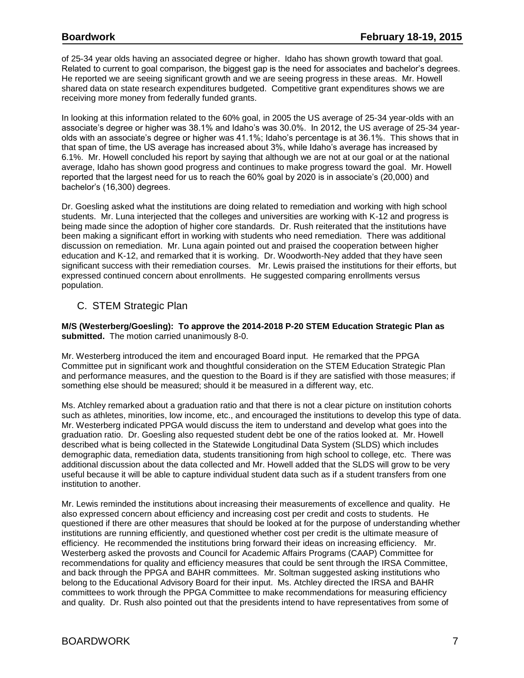of 25-34 year olds having an associated degree or higher. Idaho has shown growth toward that goal. Related to current to goal comparison, the biggest gap is the need for associates and bachelor's degrees. He reported we are seeing significant growth and we are seeing progress in these areas. Mr. Howell shared data on state research expenditures budgeted. Competitive grant expenditures shows we are receiving more money from federally funded grants.

In looking at this information related to the 60% goal, in 2005 the US average of 25-34 year-olds with an associate's degree or higher was 38.1% and Idaho's was 30.0%. In 2012, the US average of 25-34 yearolds with an associate's degree or higher was 41.1%; Idaho's percentage is at 36.1%. This shows that in that span of time, the US average has increased about 3%, while Idaho's average has increased by 6.1%. Mr. Howell concluded his report by saying that although we are not at our goal or at the national average, Idaho has shown good progress and continues to make progress toward the goal. Mr. Howell reported that the largest need for us to reach the 60% goal by 2020 is in associate's (20,000) and bachelor's (16,300) degrees.

Dr. Goesling asked what the institutions are doing related to remediation and working with high school students. Mr. Luna interjected that the colleges and universities are working with K-12 and progress is being made since the adoption of higher core standards. Dr. Rush reiterated that the institutions have been making a significant effort in working with students who need remediation. There was additional discussion on remediation. Mr. Luna again pointed out and praised the cooperation between higher education and K-12, and remarked that it is working. Dr. Woodworth-Ney added that they have seen significant success with their remediation courses. Mr. Lewis praised the institutions for their efforts, but expressed continued concern about enrollments. He suggested comparing enrollments versus population.

# C. STEM Strategic Plan

**M/S (Westerberg/Goesling): To approve the 2014-2018 P-20 STEM Education Strategic Plan as submitted.** The motion carried unanimously 8-0.

Mr. Westerberg introduced the item and encouraged Board input. He remarked that the PPGA Committee put in significant work and thoughtful consideration on the STEM Education Strategic Plan and performance measures, and the question to the Board is if they are satisfied with those measures; if something else should be measured; should it be measured in a different way, etc.

Ms. Atchley remarked about a graduation ratio and that there is not a clear picture on institution cohorts such as athletes, minorities, low income, etc., and encouraged the institutions to develop this type of data. Mr. Westerberg indicated PPGA would discuss the item to understand and develop what goes into the graduation ratio. Dr. Goesling also requested student debt be one of the ratios looked at. Mr. Howell described what is being collected in the Statewide Longitudinal Data System (SLDS) which includes demographic data, remediation data, students transitioning from high school to college, etc. There was additional discussion about the data collected and Mr. Howell added that the SLDS will grow to be very useful because it will be able to capture individual student data such as if a student transfers from one institution to another.

Mr. Lewis reminded the institutions about increasing their measurements of excellence and quality. He also expressed concern about efficiency and increasing cost per credit and costs to students. He questioned if there are other measures that should be looked at for the purpose of understanding whether institutions are running efficiently, and questioned whether cost per credit is the ultimate measure of efficiency. He recommended the institutions bring forward their ideas on increasing efficiency. Mr. Westerberg asked the provosts and Council for Academic Affairs Programs (CAAP) Committee for recommendations for quality and efficiency measures that could be sent through the IRSA Committee, and back through the PPGA and BAHR committees. Mr. Soltman suggested asking institutions who belong to the Educational Advisory Board for their input. Ms. Atchley directed the IRSA and BAHR committees to work through the PPGA Committee to make recommendations for measuring efficiency and quality. Dr. Rush also pointed out that the presidents intend to have representatives from some of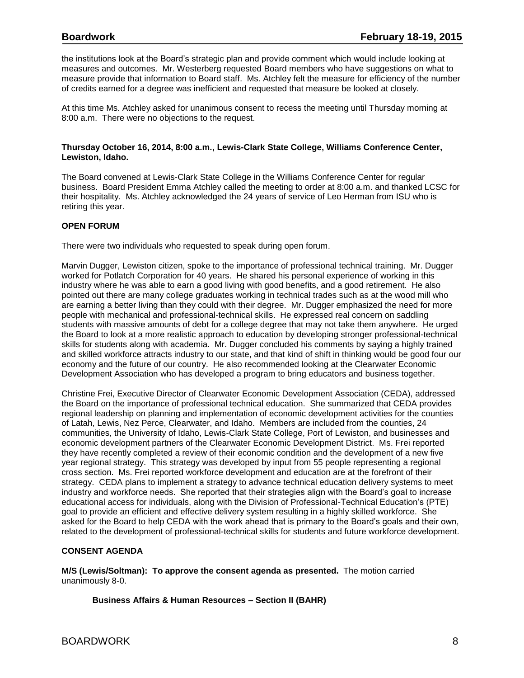the institutions look at the Board's strategic plan and provide comment which would include looking at measures and outcomes. Mr. Westerberg requested Board members who have suggestions on what to measure provide that information to Board staff. Ms. Atchley felt the measure for efficiency of the number of credits earned for a degree was inefficient and requested that measure be looked at closely.

At this time Ms. Atchley asked for unanimous consent to recess the meeting until Thursday morning at 8:00 a.m. There were no objections to the request.

#### **Thursday October 16, 2014, 8:00 a.m., Lewis-Clark State College, Williams Conference Center, Lewiston, Idaho.**

The Board convened at Lewis-Clark State College in the Williams Conference Center for regular business. Board President Emma Atchley called the meeting to order at 8:00 a.m. and thanked LCSC for their hospitality. Ms. Atchley acknowledged the 24 years of service of Leo Herman from ISU who is retiring this year.

## **OPEN FORUM**

There were two individuals who requested to speak during open forum.

Marvin Dugger, Lewiston citizen, spoke to the importance of professional technical training. Mr. Dugger worked for Potlatch Corporation for 40 years. He shared his personal experience of working in this industry where he was able to earn a good living with good benefits, and a good retirement. He also pointed out there are many college graduates working in technical trades such as at the wood mill who are earning a better living than they could with their degree. Mr. Dugger emphasized the need for more people with mechanical and professional-technical skills. He expressed real concern on saddling students with massive amounts of debt for a college degree that may not take them anywhere. He urged the Board to look at a more realistic approach to education by developing stronger professional-technical skills for students along with academia. Mr. Dugger concluded his comments by saying a highly trained and skilled workforce attracts industry to our state, and that kind of shift in thinking would be good four our economy and the future of our country. He also recommended looking at the Clearwater Economic Development Association who has developed a program to bring educators and business together.

Christine Frei, Executive Director of Clearwater Economic Development Association (CEDA), addressed the Board on the importance of professional technical education. She summarized that CEDA provides regional leadership on planning and implementation of economic development activities for the counties of Latah, Lewis, Nez Perce, Clearwater, and Idaho. Members are included from the counties, 24 communities, the University of Idaho, Lewis-Clark State College, Port of Lewiston, and businesses and economic development partners of the Clearwater Economic Development District. Ms. Frei reported they have recently completed a review of their economic condition and the development of a new five year regional strategy. This strategy was developed by input from 55 people representing a regional cross section. Ms. Frei reported workforce development and education are at the forefront of their strategy. CEDA plans to implement a strategy to advance technical education delivery systems to meet industry and workforce needs. She reported that their strategies align with the Board's goal to increase educational access for individuals, along with the Division of Professional-Technical Education's (PTE) goal to provide an efficient and effective delivery system resulting in a highly skilled workforce. She asked for the Board to help CEDA with the work ahead that is primary to the Board's goals and their own, related to the development of professional-technical skills for students and future workforce development.

# **CONSENT AGENDA**

**M/S (Lewis/Soltman): To approve the consent agenda as presented.** The motion carried unanimously 8-0.

**Business Affairs & Human Resources – Section II (BAHR)**

BOARDWORK 8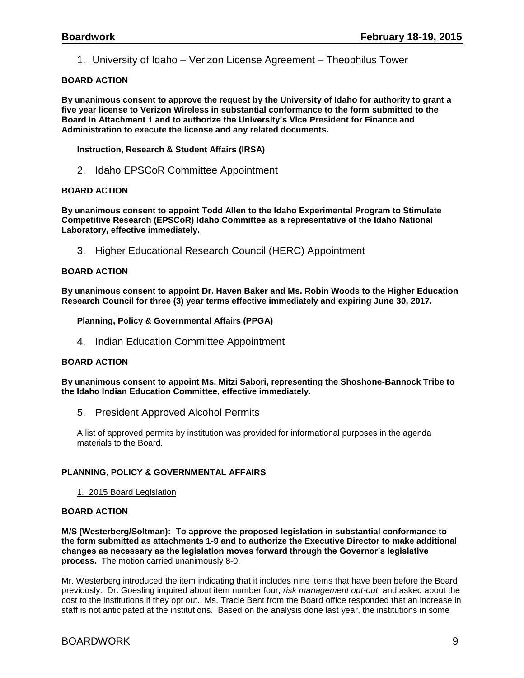1. University of Idaho – Verizon License Agreement – Theophilus Tower

## **BOARD ACTION**

**By unanimous consent to approve the request by the University of Idaho for authority to grant a five year license to Verizon Wireless in substantial conformance to the form submitted to the Board in Attachment 1 and to authorize the University's Vice President for Finance and Administration to execute the license and any related documents.** 

**Instruction, Research & Student Affairs (IRSA)**

2. Idaho EPSCoR Committee Appointment

## **BOARD ACTION**

**By unanimous consent to appoint Todd Allen to the Idaho Experimental Program to Stimulate Competitive Research (EPSCoR) Idaho Committee as a representative of the Idaho National Laboratory, effective immediately.**

3. Higher Educational Research Council (HERC) Appointment

## **BOARD ACTION**

**By unanimous consent to appoint Dr. Haven Baker and Ms. Robin Woods to the Higher Education Research Council for three (3) year terms effective immediately and expiring June 30, 2017.**

**Planning, Policy & Governmental Affairs (PPGA)**

4. Indian Education Committee Appointment

### **BOARD ACTION**

**By unanimous consent to appoint Ms. Mitzi Sabori, representing the Shoshone-Bannock Tribe to the Idaho Indian Education Committee, effective immediately.**

5. President Approved Alcohol Permits

A list of approved permits by institution was provided for informational purposes in the agenda materials to the Board.

### **PLANNING, POLICY & GOVERNMENTAL AFFAIRS**

1. 2015 Board Legislation

### **BOARD ACTION**

**M/S (Westerberg/Soltman): To approve the proposed legislation in substantial conformance to the form submitted as attachments 1-9 and to authorize the Executive Director to make additional changes as necessary as the legislation moves forward through the Governor's legislative process.** The motion carried unanimously 8-0.

Mr. Westerberg introduced the item indicating that it includes nine items that have been before the Board previously. Dr. Goesling inquired about item number four, *risk management opt-out*, and asked about the cost to the institutions if they opt out. Ms. Tracie Bent from the Board office responded that an increase in staff is not anticipated at the institutions. Based on the analysis done last year, the institutions in some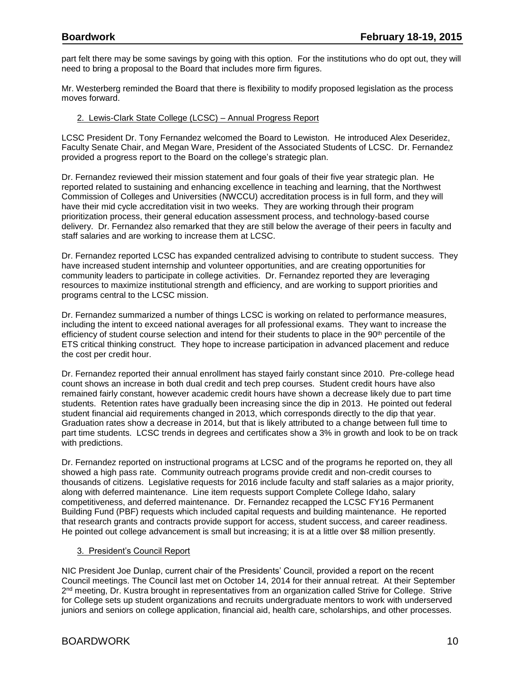part felt there may be some savings by going with this option. For the institutions who do opt out, they will need to bring a proposal to the Board that includes more firm figures.

Mr. Westerberg reminded the Board that there is flexibility to modify proposed legislation as the process moves forward.

## 2. Lewis-Clark State College (LCSC) – Annual Progress Report

LCSC President Dr. Tony Fernandez welcomed the Board to Lewiston. He introduced Alex Deseridez, Faculty Senate Chair, and Megan Ware, President of the Associated Students of LCSC. Dr. Fernandez provided a progress report to the Board on the college's strategic plan.

Dr. Fernandez reviewed their mission statement and four goals of their five year strategic plan. He reported related to sustaining and enhancing excellence in teaching and learning, that the Northwest Commission of Colleges and Universities (NWCCU) accreditation process is in full form, and they will have their mid cycle accreditation visit in two weeks. They are working through their program prioritization process, their general education assessment process, and technology-based course delivery. Dr. Fernandez also remarked that they are still below the average of their peers in faculty and staff salaries and are working to increase them at LCSC.

Dr. Fernandez reported LCSC has expanded centralized advising to contribute to student success. They have increased student internship and volunteer opportunities, and are creating opportunities for community leaders to participate in college activities. Dr. Fernandez reported they are leveraging resources to maximize institutional strength and efficiency, and are working to support priorities and programs central to the LCSC mission.

Dr. Fernandez summarized a number of things LCSC is working on related to performance measures, including the intent to exceed national averages for all professional exams. They want to increase the efficiency of student course selection and intend for their students to place in the 90<sup>th</sup> percentile of the ETS critical thinking construct. They hope to increase participation in advanced placement and reduce the cost per credit hour.

Dr. Fernandez reported their annual enrollment has stayed fairly constant since 2010. Pre-college head count shows an increase in both dual credit and tech prep courses. Student credit hours have also remained fairly constant, however academic credit hours have shown a decrease likely due to part time students. Retention rates have gradually been increasing since the dip in 2013. He pointed out federal student financial aid requirements changed in 2013, which corresponds directly to the dip that year. Graduation rates show a decrease in 2014, but that is likely attributed to a change between full time to part time students. LCSC trends in degrees and certificates show a 3% in growth and look to be on track with predictions.

Dr. Fernandez reported on instructional programs at LCSC and of the programs he reported on, they all showed a high pass rate. Community outreach programs provide credit and non-credit courses to thousands of citizens. Legislative requests for 2016 include faculty and staff salaries as a major priority, along with deferred maintenance. Line item requests support Complete College Idaho, salary competitiveness, and deferred maintenance. Dr. Fernandez recapped the LCSC FY16 Permanent Building Fund (PBF) requests which included capital requests and building maintenance. He reported that research grants and contracts provide support for access, student success, and career readiness. He pointed out college advancement is small but increasing; it is at a little over \$8 million presently.

### 3. President's Council Report

NIC President Joe Dunlap, current chair of the Presidents' Council, provided a report on the recent Council meetings. The Council last met on October 14, 2014 for their annual retreat. At their September 2<sup>nd</sup> meeting, Dr. Kustra brought in representatives from an organization called Strive for College. Strive for College sets up student organizations and recruits undergraduate mentors to work with underserved juniors and seniors on college application, financial aid, health care, scholarships, and other processes.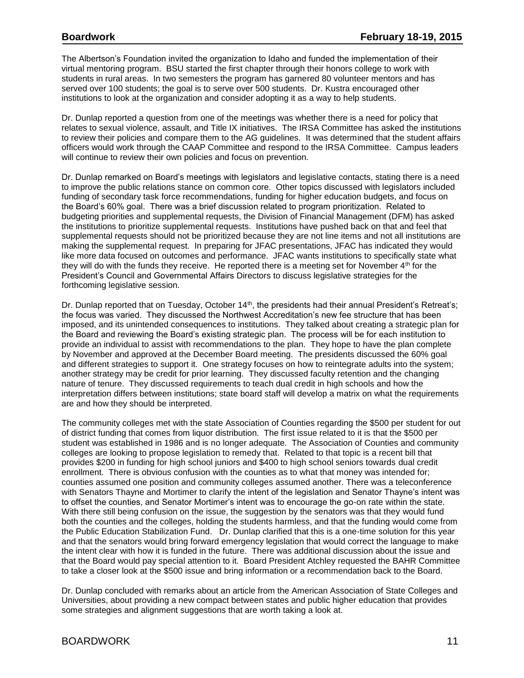The Albertson's Foundation invited the organization to Idaho and funded the implementation of their virtual mentoring program. BSU started the first chapter through their honors college to work with students in rural areas. In two semesters the program has garnered 80 volunteer mentors and has served over 100 students; the goal is to serve over 500 students. Dr. Kustra encouraged other institutions to look at the organization and consider adopting it as a way to help students.

Dr. Dunlap reported a question from one of the meetings was whether there is a need for policy that relates to sexual violence, assault, and Title IX initiatives. The IRSA Committee has asked the institutions to review their policies and compare them to the AG guidelines. It was determined that the student affairs officers would work through the CAAP Committee and respond to the IRSA Committee. Campus leaders will continue to review their own policies and focus on prevention.

Dr. Dunlap remarked on Board's meetings with legislators and legislative contacts, stating there is a need to improve the public relations stance on common core. Other topics discussed with legislators included funding of secondary task force recommendations, funding for higher education budgets, and focus on the Board's 60% goal. There was a brief discussion related to program prioritization. Related to budgeting priorities and supplemental requests, the Division of Financial Management (DFM) has asked the institutions to prioritize supplemental requests. Institutions have pushed back on that and feel that supplemental requests should not be prioritized because they are not line items and not all institutions are making the supplemental request. In preparing for JFAC presentations, JFAC has indicated they would like more data focused on outcomes and performance. JFAC wants institutions to specifically state what they will do with the funds they receive. He reported there is a meeting set for November 4th for the President's Council and Governmental Affairs Directors to discuss legislative strategies for the forthcoming legislative session.

Dr. Dunlap reported that on Tuesday, October 14<sup>th</sup>, the presidents had their annual President's Retreat's; the focus was varied. They discussed the Northwest Accreditation's new fee structure that has been imposed, and its unintended consequences to institutions. They talked about creating a strategic plan for the Board and reviewing the Board's existing strategic plan. The process will be for each institution to provide an individual to assist with recommendations to the plan. They hope to have the plan complete by November and approved at the December Board meeting. The presidents discussed the 60% goal and different strategies to support it. One strategy focuses on how to reintegrate adults into the system: another strategy may be credit for prior learning. They discussed faculty retention and the changing nature of tenure. They discussed requirements to teach dual credit in high schools and how the interpretation differs between institutions; state board staff will develop a matrix on what the requirements are and how they should be interpreted.

The community colleges met with the state Association of Counties regarding the \$500 per student for out of district funding that comes from liquor distribution. The first issue related to it is that the \$500 per student was established in 1986 and is no longer adequate. The Association of Counties and community colleges are looking to propose legislation to remedy that. Related to that topic is a recent bill that provides \$200 in funding for high school juniors and \$400 to high school seniors towards dual credit enrollment. There is obvious confusion with the counties as to what that money was intended for; counties assumed one position and community colleges assumed another. There was a teleconference with Senators Thayne and Mortimer to clarify the intent of the legislation and Senator Thayne's intent was to offset the counties, and Senator Mortimer's intent was to encourage the go-on rate within the state. With there still being confusion on the issue, the suggestion by the senators was that they would fund both the counties and the colleges, holding the students harmless, and that the funding would come from the Public Education Stabilization Fund. Dr. Dunlap clarified that this is a one-time solution for this year and that the senators would bring forward emergency legislation that would correct the language to make the intent clear with how it is funded in the future. There was additional discussion about the issue and that the Board would pay special attention to it. Board President Atchley requested the BAHR Committee to take a closer look at the \$500 issue and bring information or a recommendation back to the Board.

Dr. Dunlap concluded with remarks about an article from the American Association of State Colleges and Universities, about providing a new compact between states and public higher education that provides some strategies and alignment suggestions that are worth taking a look at.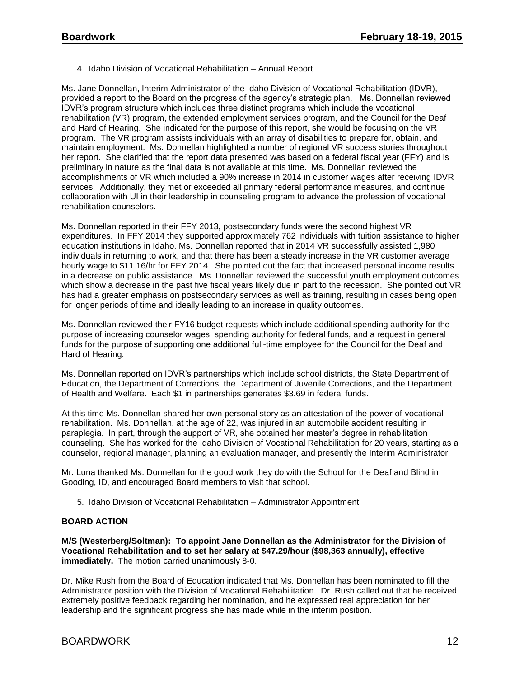#### 4. Idaho Division of Vocational Rehabilitation – Annual Report

Ms. Jane Donnellan, Interim Administrator of the Idaho Division of Vocational Rehabilitation (IDVR), provided a report to the Board on the progress of the agency's strategic plan. Ms. Donnellan reviewed IDVR's program structure which includes three distinct programs which include the vocational rehabilitation (VR) program, the extended employment services program, and the Council for the Deaf and Hard of Hearing. She indicated for the purpose of this report, she would be focusing on the VR program. The VR program assists individuals with an array of disabilities to prepare for, obtain, and maintain employment. Ms. Donnellan highlighted a number of regional VR success stories throughout her report. She clarified that the report data presented was based on a federal fiscal year (FFY) and is preliminary in nature as the final data is not available at this time. Ms. Donnellan reviewed the accomplishments of VR which included a 90% increase in 2014 in customer wages after receiving IDVR services. Additionally, they met or exceeded all primary federal performance measures, and continue collaboration with UI in their leadership in counseling program to advance the profession of vocational rehabilitation counselors.

Ms. Donnellan reported in their FFY 2013, postsecondary funds were the second highest VR expenditures. In FFY 2014 they supported approximately 762 individuals with tuition assistance to higher education institutions in Idaho. Ms. Donnellan reported that in 2014 VR successfully assisted 1,980 individuals in returning to work, and that there has been a steady increase in the VR customer average hourly wage to \$11.16/hr for FFY 2014. She pointed out the fact that increased personal income results in a decrease on public assistance. Ms. Donnellan reviewed the successful youth employment outcomes which show a decrease in the past five fiscal years likely due in part to the recession. She pointed out VR has had a greater emphasis on postsecondary services as well as training, resulting in cases being open for longer periods of time and ideally leading to an increase in quality outcomes.

Ms. Donnellan reviewed their FY16 budget requests which include additional spending authority for the purpose of increasing counselor wages, spending authority for federal funds, and a request in general funds for the purpose of supporting one additional full-time employee for the Council for the Deaf and Hard of Hearing.

Ms. Donnellan reported on IDVR's partnerships which include school districts, the State Department of Education, the Department of Corrections, the Department of Juvenile Corrections, and the Department of Health and Welfare. Each \$1 in partnerships generates \$3.69 in federal funds.

At this time Ms. Donnellan shared her own personal story as an attestation of the power of vocational rehabilitation. Ms. Donnellan, at the age of 22, was injured in an automobile accident resulting in paraplegia. In part, through the support of VR, she obtained her master's degree in rehabilitation counseling. She has worked for the Idaho Division of Vocational Rehabilitation for 20 years, starting as a counselor, regional manager, planning an evaluation manager, and presently the Interim Administrator.

Mr. Luna thanked Ms. Donnellan for the good work they do with the School for the Deaf and Blind in Gooding, ID, and encouraged Board members to visit that school.

### 5. Idaho Division of Vocational Rehabilitation – Administrator Appointment

### **BOARD ACTION**

**M/S (Westerberg/Soltman): To appoint Jane Donnellan as the Administrator for the Division of Vocational Rehabilitation and to set her salary at \$47.29/hour (\$98,363 annually), effective immediately.** The motion carried unanimously 8-0.

Dr. Mike Rush from the Board of Education indicated that Ms. Donnellan has been nominated to fill the Administrator position with the Division of Vocational Rehabilitation. Dr. Rush called out that he received extremely positive feedback regarding her nomination, and he expressed real appreciation for her leadership and the significant progress she has made while in the interim position.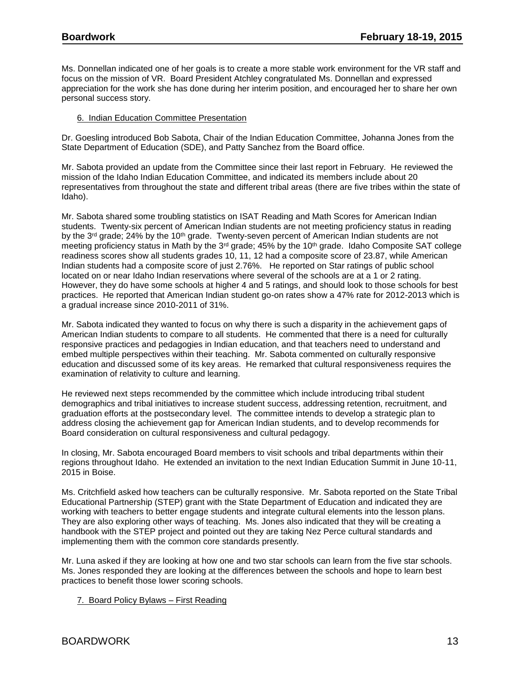Ms. Donnellan indicated one of her goals is to create a more stable work environment for the VR staff and focus on the mission of VR. Board President Atchley congratulated Ms. Donnellan and expressed appreciation for the work she has done during her interim position, and encouraged her to share her own personal success story.

### 6. Indian Education Committee Presentation

Dr. Goesling introduced Bob Sabota, Chair of the Indian Education Committee, Johanna Jones from the State Department of Education (SDE), and Patty Sanchez from the Board office.

Mr. Sabota provided an update from the Committee since their last report in February. He reviewed the mission of the Idaho Indian Education Committee, and indicated its members include about 20 representatives from throughout the state and different tribal areas (there are five tribes within the state of Idaho).

Mr. Sabota shared some troubling statistics on ISAT Reading and Math Scores for American Indian students. Twenty-six percent of American Indian students are not meeting proficiency status in reading by the 3<sup>rd</sup> grade; 24% by the 10<sup>th</sup> grade. Twenty-seven percent of American Indian students are not meeting proficiency status in Math by the  $3<sup>rd</sup>$  grade; 45% by the 10<sup>th</sup> grade. Idaho Composite SAT college readiness scores show all students grades 10, 11, 12 had a composite score of 23.87, while American Indian students had a composite score of just 2.76%. He reported on Star ratings of public school located on or near Idaho Indian reservations where several of the schools are at a 1 or 2 rating. However, they do have some schools at higher 4 and 5 ratings, and should look to those schools for best practices. He reported that American Indian student go-on rates show a 47% rate for 2012-2013 which is a gradual increase since 2010-2011 of 31%.

Mr. Sabota indicated they wanted to focus on why there is such a disparity in the achievement gaps of American Indian students to compare to all students. He commented that there is a need for culturally responsive practices and pedagogies in Indian education, and that teachers need to understand and embed multiple perspectives within their teaching. Mr. Sabota commented on culturally responsive education and discussed some of its key areas. He remarked that cultural responsiveness requires the examination of relativity to culture and learning.

He reviewed next steps recommended by the committee which include introducing tribal student demographics and tribal initiatives to increase student success, addressing retention, recruitment, and graduation efforts at the postsecondary level. The committee intends to develop a strategic plan to address closing the achievement gap for American Indian students, and to develop recommends for Board consideration on cultural responsiveness and cultural pedagogy.

In closing, Mr. Sabota encouraged Board members to visit schools and tribal departments within their regions throughout Idaho. He extended an invitation to the next Indian Education Summit in June 10-11, 2015 in Boise.

Ms. Critchfield asked how teachers can be culturally responsive. Mr. Sabota reported on the State Tribal Educational Partnership (STEP) grant with the State Department of Education and indicated they are working with teachers to better engage students and integrate cultural elements into the lesson plans. They are also exploring other ways of teaching. Ms. Jones also indicated that they will be creating a handbook with the STEP project and pointed out they are taking Nez Perce cultural standards and implementing them with the common core standards presently.

Mr. Luna asked if they are looking at how one and two star schools can learn from the five star schools. Ms. Jones responded they are looking at the differences between the schools and hope to learn best practices to benefit those lower scoring schools.

### 7. Board Policy Bylaws – First Reading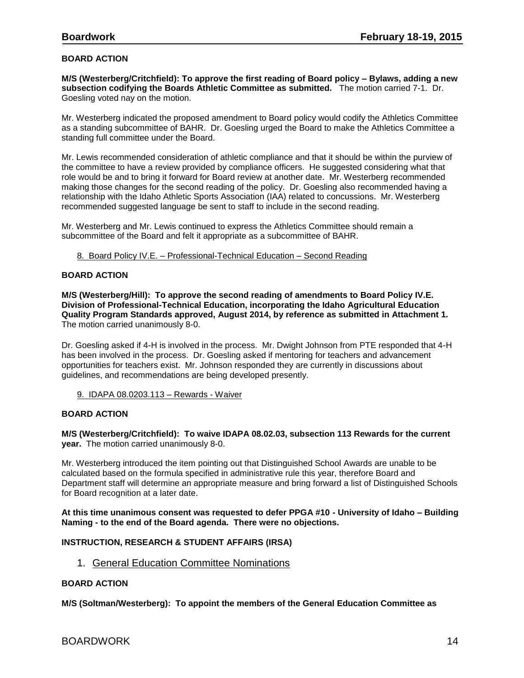## **BOARD ACTION**

**M/S (Westerberg/Critchfield): To approve the first reading of Board policy – Bylaws, adding a new subsection codifying the Boards Athletic Committee as submitted.** The motion carried 7-1. Dr. Goesling voted nay on the motion.

Mr. Westerberg indicated the proposed amendment to Board policy would codify the Athletics Committee as a standing subcommittee of BAHR. Dr. Goesling urged the Board to make the Athletics Committee a standing full committee under the Board.

Mr. Lewis recommended consideration of athletic compliance and that it should be within the purview of the committee to have a review provided by compliance officers. He suggested considering what that role would be and to bring it forward for Board review at another date. Mr. Westerberg recommended making those changes for the second reading of the policy. Dr. Goesling also recommended having a relationship with the Idaho Athletic Sports Association (IAA) related to concussions. Mr. Westerberg recommended suggested language be sent to staff to include in the second reading.

Mr. Westerberg and Mr. Lewis continued to express the Athletics Committee should remain a subcommittee of the Board and felt it appropriate as a subcommittee of BAHR.

8. Board Policy IV.E. – Professional-Technical Education – Second Reading

### **BOARD ACTION**

**M/S (Westerberg/Hill): To approve the second reading of amendments to Board Policy IV.E. Division of Professional-Technical Education, incorporating the Idaho Agricultural Education Quality Program Standards approved, August 2014, by reference as submitted in Attachment 1.**  The motion carried unanimously 8-0.

Dr. Goesling asked if 4-H is involved in the process. Mr. Dwight Johnson from PTE responded that 4-H has been involved in the process. Dr. Goesling asked if mentoring for teachers and advancement opportunities for teachers exist. Mr. Johnson responded they are currently in discussions about guidelines, and recommendations are being developed presently.

9. IDAPA 08.0203.113 – Rewards - Waiver

### **BOARD ACTION**

**M/S (Westerberg/Critchfield): To waive IDAPA 08.02.03, subsection 113 Rewards for the current year.** The motion carried unanimously 8-0.

Mr. Westerberg introduced the item pointing out that Distinguished School Awards are unable to be calculated based on the formula specified in administrative rule this year, therefore Board and Department staff will determine an appropriate measure and bring forward a list of Distinguished Schools for Board recognition at a later date.

**At this time unanimous consent was requested to defer PPGA #10 - University of Idaho – Building Naming - to the end of the Board agenda. There were no objections.** 

### **INSTRUCTION, RESEARCH & STUDENT AFFAIRS (IRSA)**

1. General Education Committee Nominations

## **BOARD ACTION**

**M/S (Soltman/Westerberg): To appoint the members of the General Education Committee as**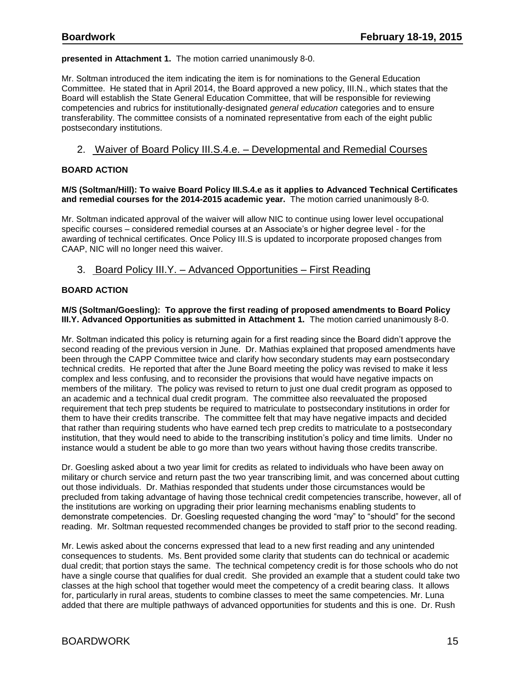### **presented in Attachment 1.** The motion carried unanimously 8-0.

Mr. Soltman introduced the item indicating the item is for nominations to the General Education Committee. He stated that in April 2014, the Board approved a new policy, III.N., which states that the Board will establish the State General Education Committee, that will be responsible for reviewing competencies and rubrics for institutionally-designated *general education* categories and to ensure transferability. The committee consists of a nominated representative from each of the eight public postsecondary institutions.

# 2. Waiver of Board Policy III.S.4.e. – Developmental and Remedial Courses

## **BOARD ACTION**

### **M/S (Soltman/Hill): To waive Board Policy III.S.4.e as it applies to Advanced Technical Certificates and remedial courses for the 2014-2015 academic year.** The motion carried unanimously 8-0.

Mr. Soltman indicated approval of the waiver will allow NIC to continue using lower level occupational specific courses – considered remedial courses at an Associate's or higher degree level - for the awarding of technical certificates. Once Policy III.S is updated to incorporate proposed changes from CAAP, NIC will no longer need this waiver.

# 3. Board Policy III.Y. – Advanced Opportunities – First Reading

## **BOARD ACTION**

#### **M/S (Soltman/Goesling): To approve the first reading of proposed amendments to Board Policy III.Y. Advanced Opportunities as submitted in Attachment 1.** The motion carried unanimously 8-0.

Mr. Soltman indicated this policy is returning again for a first reading since the Board didn't approve the second reading of the previous version in June. Dr. Mathias explained that proposed amendments have been through the CAPP Committee twice and clarify how secondary students may earn postsecondary technical credits. He reported that after the June Board meeting the policy was revised to make it less complex and less confusing, and to reconsider the provisions that would have negative impacts on members of the military. The policy was revised to return to just one dual credit program as opposed to an academic and a technical dual credit program. The committee also reevaluated the proposed requirement that tech prep students be required to matriculate to postsecondary institutions in order for them to have their credits transcribe. The committee felt that may have negative impacts and decided that rather than requiring students who have earned tech prep credits to matriculate to a postsecondary institution, that they would need to abide to the transcribing institution's policy and time limits. Under no instance would a student be able to go more than two years without having those credits transcribe.

Dr. Goesling asked about a two year limit for credits as related to individuals who have been away on military or church service and return past the two year transcribing limit, and was concerned about cutting out those individuals. Dr. Mathias responded that students under those circumstances would be precluded from taking advantage of having those technical credit competencies transcribe, however, all of the institutions are working on upgrading their prior learning mechanisms enabling students to demonstrate competencies. Dr. Goesling requested changing the word "may" to "should" for the second reading. Mr. Soltman requested recommended changes be provided to staff prior to the second reading.

Mr. Lewis asked about the concerns expressed that lead to a new first reading and any unintended consequences to students. Ms. Bent provided some clarity that students can do technical or academic dual credit; that portion stays the same. The technical competency credit is for those schools who do not have a single course that qualifies for dual credit. She provided an example that a student could take two classes at the high school that together would meet the competency of a credit bearing class. It allows for, particularly in rural areas, students to combine classes to meet the same competencies. Mr. Luna added that there are multiple pathways of advanced opportunities for students and this is one. Dr. Rush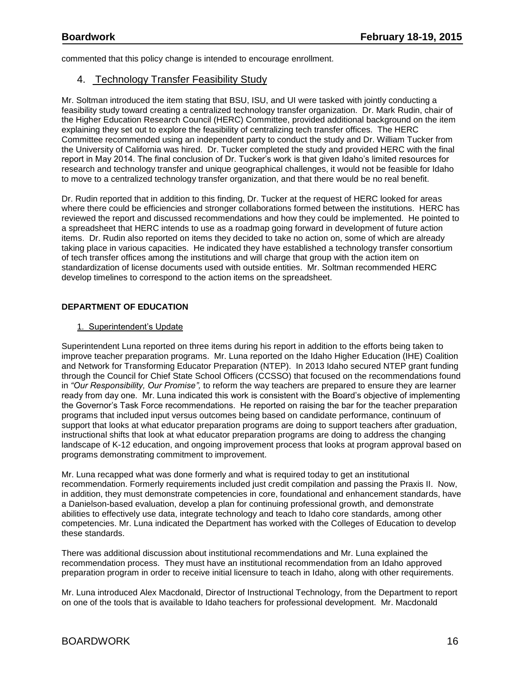commented that this policy change is intended to encourage enrollment.

# 4. Technology Transfer Feasibility Study

Mr. Soltman introduced the item stating that BSU, ISU, and UI were tasked with jointly conducting a feasibility study toward creating a centralized technology transfer organization. Dr. Mark Rudin, chair of the Higher Education Research Council (HERC) Committee, provided additional background on the item explaining they set out to explore the feasibility of centralizing tech transfer offices. The HERC Committee recommended using an independent party to conduct the study and Dr. William Tucker from the University of California was hired. Dr. Tucker completed the study and provided HERC with the final report in May 2014. The final conclusion of Dr. Tucker's work is that given Idaho's limited resources for research and technology transfer and unique geographical challenges, it would not be feasible for Idaho to move to a centralized technology transfer organization, and that there would be no real benefit.

Dr. Rudin reported that in addition to this finding, Dr. Tucker at the request of HERC looked for areas where there could be efficiencies and stronger collaborations formed between the institutions. HERC has reviewed the report and discussed recommendations and how they could be implemented. He pointed to a spreadsheet that HERC intends to use as a roadmap going forward in development of future action items. Dr. Rudin also reported on items they decided to take no action on, some of which are already taking place in various capacities. He indicated they have established a technology transfer consortium of tech transfer offices among the institutions and will charge that group with the action item on standardization of license documents used with outside entities. Mr. Soltman recommended HERC develop timelines to correspond to the action items on the spreadsheet.

# **DEPARTMENT OF EDUCATION**

## 1. Superintendent's Update

Superintendent Luna reported on three items during his report in addition to the efforts being taken to improve teacher preparation programs. Mr. Luna reported on the Idaho Higher Education (IHE) Coalition and Network for Transforming Educator Preparation (NTEP). In 2013 Idaho secured NTEP grant funding through the Council for Chief State School Officers (CCSSO) that focused on the recommendations found in *"Our Responsibility, Our Promise",* to reform the way teachers are prepared to ensure they are learner ready from day one. Mr. Luna indicated this work is consistent with the Board's objective of implementing the Governor's Task Force recommendations. He reported on raising the bar for the teacher preparation programs that included input versus outcomes being based on candidate performance, continuum of support that looks at what educator preparation programs are doing to support teachers after graduation, instructional shifts that look at what educator preparation programs are doing to address the changing landscape of K-12 education, and ongoing improvement process that looks at program approval based on programs demonstrating commitment to improvement.

Mr. Luna recapped what was done formerly and what is required today to get an institutional recommendation. Formerly requirements included just credit compilation and passing the Praxis II. Now, in addition, they must demonstrate competencies in core, foundational and enhancement standards, have a Danielson-based evaluation, develop a plan for continuing professional growth, and demonstrate abilities to effectively use data, integrate technology and teach to Idaho core standards, among other competencies. Mr. Luna indicated the Department has worked with the Colleges of Education to develop these standards.

There was additional discussion about institutional recommendations and Mr. Luna explained the recommendation process. They must have an institutional recommendation from an Idaho approved preparation program in order to receive initial licensure to teach in Idaho, along with other requirements.

Mr. Luna introduced Alex Macdonald, Director of Instructional Technology, from the Department to report on one of the tools that is available to Idaho teachers for professional development. Mr. Macdonald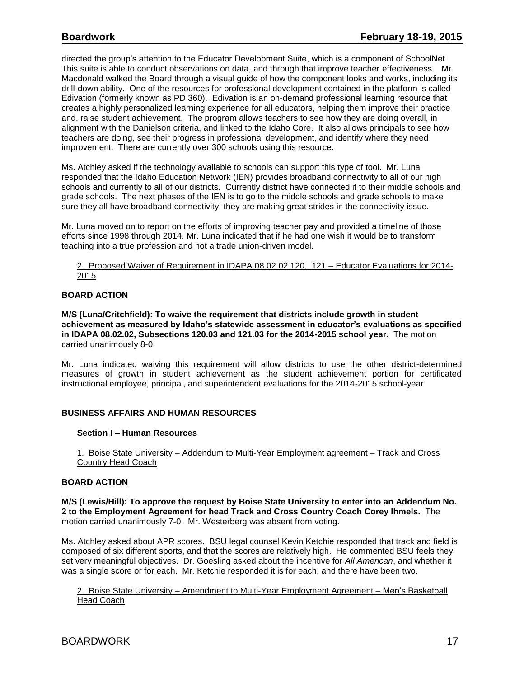directed the group's attention to the Educator Development Suite, which is a component of SchoolNet. This suite is able to conduct observations on data, and through that improve teacher effectiveness. Mr. Macdonald walked the Board through a visual guide of how the component looks and works, including its drill-down ability. One of the resources for professional development contained in the platform is called Edivation (formerly known as PD 360). Edivation is an on-demand professional learning resource that creates a highly personalized learning experience for all educators, helping them improve their practice and, raise student achievement. The program allows teachers to see how they are doing overall, in alignment with the Danielson criteria, and linked to the Idaho Core. It also allows principals to see how teachers are doing, see their progress in professional development, and identify where they need improvement. There are currently over 300 schools using this resource.

Ms. Atchley asked if the technology available to schools can support this type of tool. Mr. Luna responded that the Idaho Education Network (IEN) provides broadband connectivity to all of our high schools and currently to all of our districts. Currently district have connected it to their middle schools and grade schools. The next phases of the IEN is to go to the middle schools and grade schools to make sure they all have broadband connectivity; they are making great strides in the connectivity issue.

Mr. Luna moved on to report on the efforts of improving teacher pay and provided a timeline of those efforts since 1998 through 2014. Mr. Luna indicated that if he had one wish it would be to transform teaching into a true profession and not a trade union-driven model.

2. Proposed Waiver of Requirement in IDAPA 08.02.02.120, .121 – Educator Evaluations for 2014- 2015

## **BOARD ACTION**

**M/S (Luna/Critchfield): To waive the requirement that districts include growth in student achievement as measured by Idaho's statewide assessment in educator's evaluations as specified in IDAPA 08.02.02, Subsections 120.03 and 121.03 for the 2014-2015 school year.** The motion carried unanimously 8-0.

Mr. Luna indicated waiving this requirement will allow districts to use the other district-determined measures of growth in student achievement as the student achievement portion for certificated instructional employee, principal, and superintendent evaluations for the 2014-2015 school-year.

### **BUSINESS AFFAIRS AND HUMAN RESOURCES**

### **Section I – Human Resources**

1. Boise State University – Addendum to Multi-Year Employment agreement – Track and Cross Country Head Coach

### **BOARD ACTION**

**M/S (Lewis/Hill): To approve the request by Boise State University to enter into an Addendum No. 2 to the Employment Agreement for head Track and Cross Country Coach Corey Ihmels.** The motion carried unanimously 7-0. Mr. Westerberg was absent from voting.

Ms. Atchley asked about APR scores. BSU legal counsel Kevin Ketchie responded that track and field is composed of six different sports, and that the scores are relatively high. He commented BSU feels they set very meaningful objectives. Dr. Goesling asked about the incentive for *All American*, and whether it was a single score or for each. Mr. Ketchie responded it is for each, and there have been two.

2. Boise State University – Amendment to Multi-Year Employment Agreement – Men's Basketball Head Coach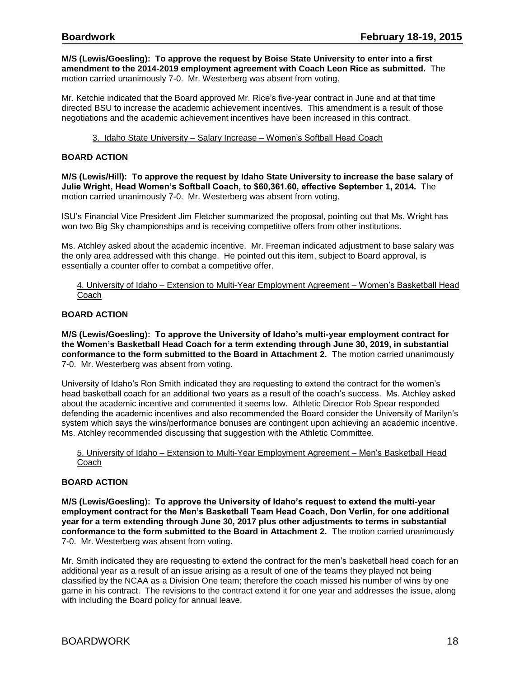**M/S (Lewis/Goesling): To approve the request by Boise State University to enter into a first amendment to the 2014-2019 employment agreement with Coach Leon Rice as submitted.** The motion carried unanimously 7-0. Mr. Westerberg was absent from voting.

Mr. Ketchie indicated that the Board approved Mr. Rice's five-year contract in June and at that time directed BSU to increase the academic achievement incentives. This amendment is a result of those negotiations and the academic achievement incentives have been increased in this contract.

#### 3. Idaho State University – Salary Increase – Women's Softball Head Coach

### **BOARD ACTION**

**M/S (Lewis/Hill): To approve the request by Idaho State University to increase the base salary of Julie Wright, Head Women's Softball Coach, to \$60,361.60, effective September 1, 2014.** The motion carried unanimously 7-0. Mr. Westerberg was absent from voting.

ISU's Financial Vice President Jim Fletcher summarized the proposal, pointing out that Ms. Wright has won two Big Sky championships and is receiving competitive offers from other institutions.

Ms. Atchley asked about the academic incentive. Mr. Freeman indicated adjustment to base salary was the only area addressed with this change. He pointed out this item, subject to Board approval, is essentially a counter offer to combat a competitive offer.

4. University of Idaho – Extension to Multi-Year Employment Agreement – Women's Basketball Head **Coach** 

#### **BOARD ACTION**

**M/S (Lewis/Goesling): To approve the University of Idaho's multi-year employment contract for the Women's Basketball Head Coach for a term extending through June 30, 2019, in substantial conformance to the form submitted to the Board in Attachment 2.** The motion carried unanimously 7-0. Mr. Westerberg was absent from voting.

University of Idaho's Ron Smith indicated they are requesting to extend the contract for the women's head basketball coach for an additional two years as a result of the coach's success. Ms. Atchley asked about the academic incentive and commented it seems low. Athletic Director Rob Spear responded defending the academic incentives and also recommended the Board consider the University of Marilyn's system which says the wins/performance bonuses are contingent upon achieving an academic incentive. Ms. Atchley recommended discussing that suggestion with the Athletic Committee.

#### 5. University of Idaho – Extension to Multi-Year Employment Agreement – Men's Basketball Head Coach

### **BOARD ACTION**

**M/S (Lewis/Goesling): To approve the University of Idaho's request to extend the multi-year employment contract for the Men's Basketball Team Head Coach, Don Verlin, for one additional year for a term extending through June 30, 2017 plus other adjustments to terms in substantial conformance to the form submitted to the Board in Attachment 2.** The motion carried unanimously 7-0. Mr. Westerberg was absent from voting.

Mr. Smith indicated they are requesting to extend the contract for the men's basketball head coach for an additional year as a result of an issue arising as a result of one of the teams they played not being classified by the NCAA as a Division One team; therefore the coach missed his number of wins by one game in his contract. The revisions to the contract extend it for one year and addresses the issue, along with including the Board policy for annual leave.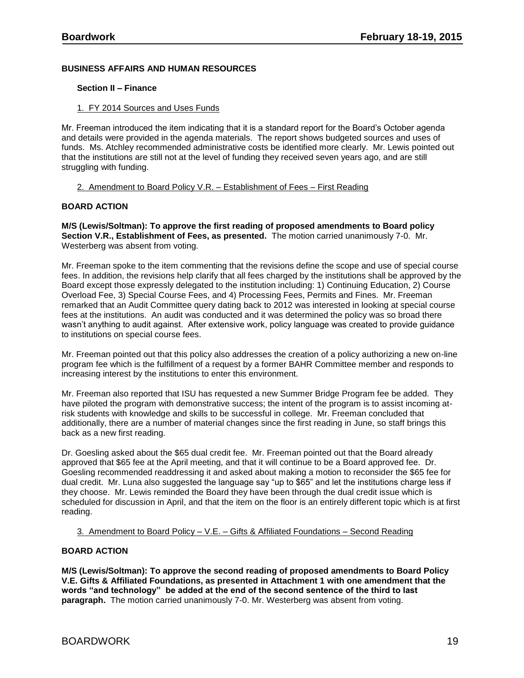## **BUSINESS AFFAIRS AND HUMAN RESOURCES**

#### **Section II – Finance**

# 1. FY 2014 Sources and Uses Funds

Mr. Freeman introduced the item indicating that it is a standard report for the Board's October agenda and details were provided in the agenda materials. The report shows budgeted sources and uses of funds. Ms. Atchley recommended administrative costs be identified more clearly. Mr. Lewis pointed out that the institutions are still not at the level of funding they received seven years ago, and are still struggling with funding.

#### 2. Amendment to Board Policy V.R. – Establishment of Fees – First Reading

### **BOARD ACTION**

**M/S (Lewis/Soltman): To approve the first reading of proposed amendments to Board policy Section V.R., Establishment of Fees, as presented.** The motion carried unanimously 7-0. Mr. Westerberg was absent from voting.

Mr. Freeman spoke to the item commenting that the revisions define the scope and use of special course fees. In addition, the revisions help clarify that all fees charged by the institutions shall be approved by the Board except those expressly delegated to the institution including: 1) Continuing Education, 2) Course Overload Fee, 3) Special Course Fees, and 4) Processing Fees, Permits and Fines. Mr. Freeman remarked that an Audit Committee query dating back to 2012 was interested in looking at special course fees at the institutions. An audit was conducted and it was determined the policy was so broad there wasn't anything to audit against. After extensive work, policy language was created to provide guidance to institutions on special course fees.

Mr. Freeman pointed out that this policy also addresses the creation of a policy authorizing a new on-line program fee which is the fulfillment of a request by a former BAHR Committee member and responds to increasing interest by the institutions to enter this environment.

Mr. Freeman also reported that ISU has requested a new Summer Bridge Program fee be added. They have piloted the program with demonstrative success; the intent of the program is to assist incoming atrisk students with knowledge and skills to be successful in college. Mr. Freeman concluded that additionally, there are a number of material changes since the first reading in June, so staff brings this back as a new first reading.

Dr. Goesling asked about the \$65 dual credit fee. Mr. Freeman pointed out that the Board already approved that \$65 fee at the April meeting, and that it will continue to be a Board approved fee. Dr. Goesling recommended readdressing it and asked about making a motion to reconsider the \$65 fee for dual credit. Mr. Luna also suggested the language say "up to \$65" and let the institutions charge less if they choose. Mr. Lewis reminded the Board they have been through the dual credit issue which is scheduled for discussion in April, and that the item on the floor is an entirely different topic which is at first reading.

### 3. Amendment to Board Policy – V.E. – Gifts & Affiliated Foundations – Second Reading

### **BOARD ACTION**

**M/S (Lewis/Soltman): To approve the second reading of proposed amendments to Board Policy V.E. Gifts & Affiliated Foundations, as presented in Attachment 1 with one amendment that the words "and technology" be added at the end of the second sentence of the third to last paragraph.** The motion carried unanimously 7-0. Mr. Westerberg was absent from voting.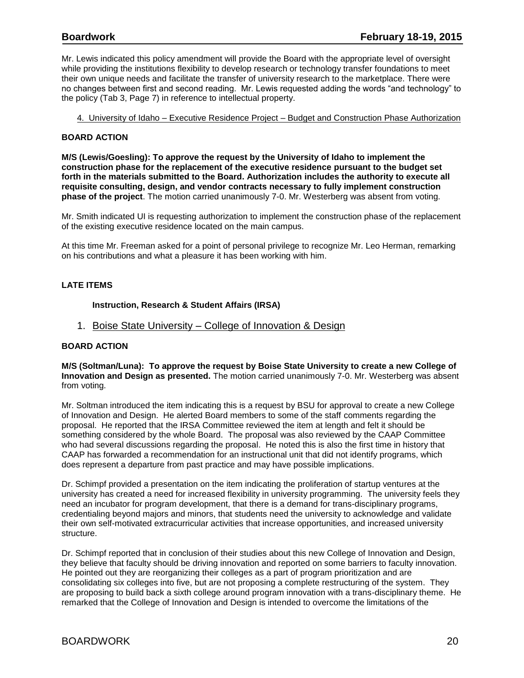Mr. Lewis indicated this policy amendment will provide the Board with the appropriate level of oversight while providing the institutions flexibility to develop research or technology transfer foundations to meet their own unique needs and facilitate the transfer of university research to the marketplace. There were no changes between first and second reading. Mr. Lewis requested adding the words "and technology" to the policy (Tab 3, Page 7) in reference to intellectual property.

4. University of Idaho – Executive Residence Project – Budget and Construction Phase Authorization

# **BOARD ACTION**

**M/S (Lewis/Goesling): To approve the request by the University of Idaho to implement the construction phase for the replacement of the executive residence pursuant to the budget set forth in the materials submitted to the Board. Authorization includes the authority to execute all requisite consulting, design, and vendor contracts necessary to fully implement construction phase of the project**. The motion carried unanimously 7-0. Mr. Westerberg was absent from voting.

Mr. Smith indicated UI is requesting authorization to implement the construction phase of the replacement of the existing executive residence located on the main campus.

At this time Mr. Freeman asked for a point of personal privilege to recognize Mr. Leo Herman, remarking on his contributions and what a pleasure it has been working with him.

## **LATE ITEMS**

### **Instruction, Research & Student Affairs (IRSA)**

1. Boise State University – College of Innovation & Design

### **BOARD ACTION**

**M/S (Soltman/Luna): To approve the request by Boise State University to create a new College of Innovation and Design as presented.** The motion carried unanimously 7-0. Mr. Westerberg was absent from voting.

Mr. Soltman introduced the item indicating this is a request by BSU for approval to create a new College of Innovation and Design. He alerted Board members to some of the staff comments regarding the proposal. He reported that the IRSA Committee reviewed the item at length and felt it should be something considered by the whole Board. The proposal was also reviewed by the CAAP Committee who had several discussions regarding the proposal. He noted this is also the first time in history that CAAP has forwarded a recommendation for an instructional unit that did not identify programs, which does represent a departure from past practice and may have possible implications.

Dr. Schimpf provided a presentation on the item indicating the proliferation of startup ventures at the university has created a need for increased flexibility in university programming. The university feels they need an incubator for program development, that there is a demand for trans-disciplinary programs, credentialing beyond majors and minors, that students need the university to acknowledge and validate their own self-motivated extracurricular activities that increase opportunities, and increased university structure.

Dr. Schimpf reported that in conclusion of their studies about this new College of Innovation and Design, they believe that faculty should be driving innovation and reported on some barriers to faculty innovation. He pointed out they are reorganizing their colleges as a part of program prioritization and are consolidating six colleges into five, but are not proposing a complete restructuring of the system. They are proposing to build back a sixth college around program innovation with a trans-disciplinary theme. He remarked that the College of Innovation and Design is intended to overcome the limitations of the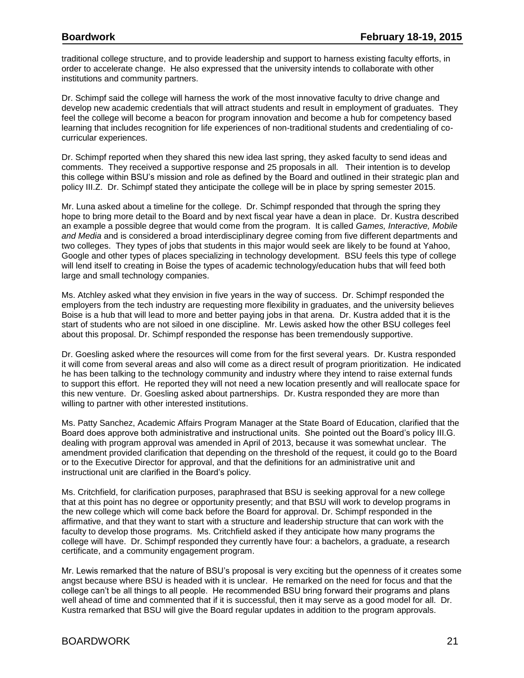traditional college structure, and to provide leadership and support to harness existing faculty efforts, in order to accelerate change. He also expressed that the university intends to collaborate with other institutions and community partners.

Dr. Schimpf said the college will harness the work of the most innovative faculty to drive change and develop new academic credentials that will attract students and result in employment of graduates. They feel the college will become a beacon for program innovation and become a hub for competency based learning that includes recognition for life experiences of non-traditional students and credentialing of cocurricular experiences.

Dr. Schimpf reported when they shared this new idea last spring, they asked faculty to send ideas and comments. They received a supportive response and 25 proposals in all. Their intention is to develop this college within BSU's mission and role as defined by the Board and outlined in their strategic plan and policy III.Z. Dr. Schimpf stated they anticipate the college will be in place by spring semester 2015.

Mr. Luna asked about a timeline for the college. Dr. Schimpf responded that through the spring they hope to bring more detail to the Board and by next fiscal year have a dean in place. Dr. Kustra described an example a possible degree that would come from the program. It is called *Games, Interactive, Mobile and Media* and is considered a broad interdisciplinary degree coming from five different departments and two colleges. They types of jobs that students in this major would seek are likely to be found at Yahoo, Google and other types of places specializing in technology development. BSU feels this type of college will lend itself to creating in Boise the types of academic technology/education hubs that will feed both large and small technology companies.

Ms. Atchley asked what they envision in five years in the way of success. Dr. Schimpf responded the employers from the tech industry are requesting more flexibility in graduates, and the university believes Boise is a hub that will lead to more and better paying jobs in that arena. Dr. Kustra added that it is the start of students who are not siloed in one discipline. Mr. Lewis asked how the other BSU colleges feel about this proposal. Dr. Schimpf responded the response has been tremendously supportive.

Dr. Goesling asked where the resources will come from for the first several years. Dr. Kustra responded it will come from several areas and also will come as a direct result of program prioritization. He indicated he has been talking to the technology community and industry where they intend to raise external funds to support this effort. He reported they will not need a new location presently and will reallocate space for this new venture. Dr. Goesling asked about partnerships. Dr. Kustra responded they are more than willing to partner with other interested institutions.

Ms. Patty Sanchez, Academic Affairs Program Manager at the State Board of Education, clarified that the Board does approve both administrative and instructional units. She pointed out the Board's policy III.G. dealing with program approval was amended in April of 2013, because it was somewhat unclear. The amendment provided clarification that depending on the threshold of the request, it could go to the Board or to the Executive Director for approval, and that the definitions for an administrative unit and instructional unit are clarified in the Board's policy.

Ms. Critchfield, for clarification purposes, paraphrased that BSU is seeking approval for a new college that at this point has no degree or opportunity presently; and that BSU will work to develop programs in the new college which will come back before the Board for approval. Dr. Schimpf responded in the affirmative, and that they want to start with a structure and leadership structure that can work with the faculty to develop those programs. Ms. Critchfield asked if they anticipate how many programs the college will have. Dr. Schimpf responded they currently have four: a bachelors, a graduate, a research certificate, and a community engagement program.

Mr. Lewis remarked that the nature of BSU's proposal is very exciting but the openness of it creates some angst because where BSU is headed with it is unclear. He remarked on the need for focus and that the college can't be all things to all people. He recommended BSU bring forward their programs and plans well ahead of time and commented that if it is successful, then it may serve as a good model for all. Dr. Kustra remarked that BSU will give the Board regular updates in addition to the program approvals.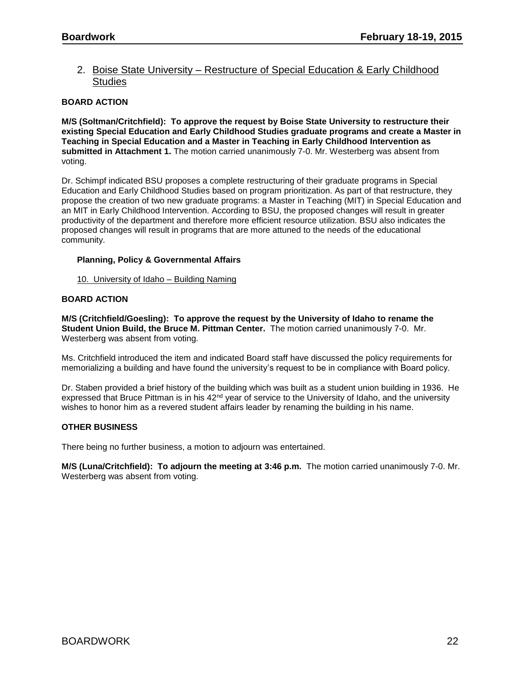# 2. Boise State University – Restructure of Special Education & Early Childhood **Studies**

## **BOARD ACTION**

**M/S (Soltman/Critchfield): To approve the request by Boise State University to restructure their existing Special Education and Early Childhood Studies graduate programs and create a Master in Teaching in Special Education and a Master in Teaching in Early Childhood Intervention as submitted in Attachment 1.** The motion carried unanimously 7-0. Mr. Westerberg was absent from voting.

Dr. Schimpf indicated BSU proposes a complete restructuring of their graduate programs in Special Education and Early Childhood Studies based on program prioritization. As part of that restructure, they propose the creation of two new graduate programs: a Master in Teaching (MIT) in Special Education and an MIT in Early Childhood Intervention. According to BSU, the proposed changes will result in greater productivity of the department and therefore more efficient resource utilization. BSU also indicates the proposed changes will result in programs that are more attuned to the needs of the educational community.

### **Planning, Policy & Governmental Affairs**

10. University of Idaho – Building Naming

### **BOARD ACTION**

**M/S (Critchfield/Goesling): To approve the request by the University of Idaho to rename the Student Union Build, the Bruce M. Pittman Center.** The motion carried unanimously 7-0. Mr. Westerberg was absent from voting.

Ms. Critchfield introduced the item and indicated Board staff have discussed the policy requirements for memorializing a building and have found the university's request to be in compliance with Board policy.

Dr. Staben provided a brief history of the building which was built as a student union building in 1936. He expressed that Bruce Pittman is in his 42<sup>nd</sup> year of service to the University of Idaho, and the university wishes to honor him as a revered student affairs leader by renaming the building in his name.

### **OTHER BUSINESS**

There being no further business, a motion to adjourn was entertained.

**M/S (Luna/Critchfield): To adjourn the meeting at 3:46 p.m.** The motion carried unanimously 7-0. Mr. Westerberg was absent from voting.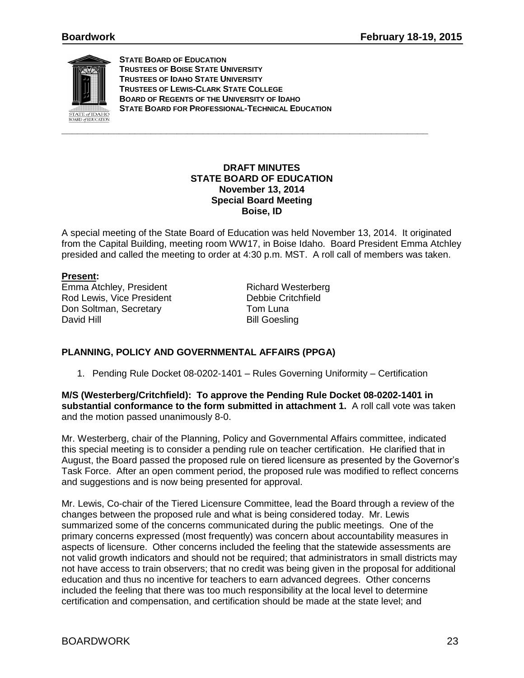

**STATE BOARD OF EDUCATION TRUSTEES OF BOISE STATE UNIVERSITY TRUSTEES OF IDAHO STATE UNIVERSITY TRUSTEES OF LEWIS-CLARK STATE COLLEGE BOARD OF REGENTS OF THE UNIVERSITY OF IDAHO STATE BOARD FOR PROFESSIONAL-TECHNICAL EDUCATION**

# **DRAFT MINUTES STATE BOARD OF EDUCATION November 13, 2014 Special Board Meeting Boise, ID**

A special meeting of the State Board of Education was held November 13, 2014. It originated from the Capital Building, meeting room WW17, in Boise Idaho. Board President Emma Atchley presided and called the meeting to order at 4:30 p.m. MST. A roll call of members was taken.

# **Present:**

Emma Atchley, President Richard Westerberg Rod Lewis, Vice President **Debbie Critchfield** Don Soltman, Secretary Tom Luna David Hill Bill Goesling

# **PLANNING, POLICY AND GOVERNMENTAL AFFAIRS (PPGA)**

1. Pending Rule Docket 08-0202-1401 – Rules Governing Uniformity – Certification

**M/S (Westerberg/Critchfield): To approve the Pending Rule Docket 08-0202-1401 in substantial conformance to the form submitted in attachment 1.** A roll call vote was taken and the motion passed unanimously 8-0.

Mr. Westerberg, chair of the Planning, Policy and Governmental Affairs committee, indicated this special meeting is to consider a pending rule on teacher certification. He clarified that in August, the Board passed the proposed rule on tiered licensure as presented by the Governor's Task Force. After an open comment period, the proposed rule was modified to reflect concerns and suggestions and is now being presented for approval.

Mr. Lewis, Co-chair of the Tiered Licensure Committee, lead the Board through a review of the changes between the proposed rule and what is being considered today. Mr. Lewis summarized some of the concerns communicated during the public meetings. One of the primary concerns expressed (most frequently) was concern about accountability measures in aspects of licensure. Other concerns included the feeling that the statewide assessments are not valid growth indicators and should not be required; that administrators in small districts may not have access to train observers; that no credit was being given in the proposal for additional education and thus no incentive for teachers to earn advanced degrees. Other concerns included the feeling that there was too much responsibility at the local level to determine certification and compensation, and certification should be made at the state level; and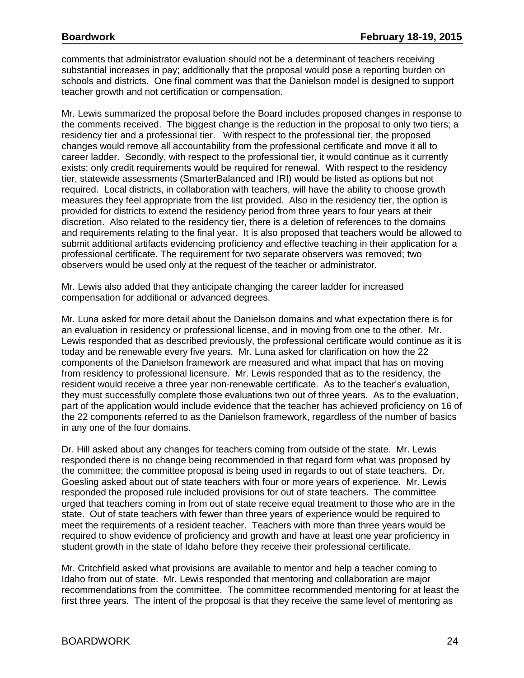comments that administrator evaluation should not be a determinant of teachers receiving substantial increases in pay; additionally that the proposal would pose a reporting burden on schools and districts. One final comment was that the Danielson model is designed to support teacher growth and not certification or compensation.

Mr. Lewis summarized the proposal before the Board includes proposed changes in response to the comments received. The biggest change is the reduction in the proposal to only two tiers; a residency tier and a professional tier. With respect to the professional tier, the proposed changes would remove all accountability from the professional certificate and move it all to career ladder. Secondly, with respect to the professional tier, it would continue as it currently exists; only credit requirements would be required for renewal. With respect to the residency tier, statewide assessments (SmarterBalanced and IRI) would be listed as options but not required. Local districts, in collaboration with teachers, will have the ability to choose growth measures they feel appropriate from the list provided. Also in the residency tier, the option is provided for districts to extend the residency period from three years to four years at their discretion. Also related to the residency tier, there is a deletion of references to the domains and requirements relating to the final year. It is also proposed that teachers would be allowed to submit additional artifacts evidencing proficiency and effective teaching in their application for a professional certificate. The requirement for two separate observers was removed; two observers would be used only at the request of the teacher or administrator.

Mr. Lewis also added that they anticipate changing the career ladder for increased compensation for additional or advanced degrees.

Mr. Luna asked for more detail about the Danielson domains and what expectation there is for an evaluation in residency or professional license, and in moving from one to the other. Mr. Lewis responded that as described previously, the professional certificate would continue as it is today and be renewable every five years. Mr. Luna asked for clarification on how the 22 components of the Danielson framework are measured and what impact that has on moving from residency to professional licensure. Mr. Lewis responded that as to the residency, the resident would receive a three year non-renewable certificate. As to the teacher's evaluation, they must successfully complete those evaluations two out of three years. As to the evaluation, part of the application would include evidence that the teacher has achieved proficiency on 16 of the 22 components referred to as the Danielson framework, regardless of the number of basics in any one of the four domains.

Dr. Hill asked about any changes for teachers coming from outside of the state. Mr. Lewis responded there is no change being recommended in that regard form what was proposed by the committee; the committee proposal is being used in regards to out of state teachers. Dr. Goesling asked about out of state teachers with four or more years of experience. Mr. Lewis responded the proposed rule included provisions for out of state teachers. The committee urged that teachers coming in from out of state receive equal treatment to those who are in the state. Out of state teachers with fewer than three years of experience would be required to meet the requirements of a resident teacher. Teachers with more than three years would be required to show evidence of proficiency and growth and have at least one year proficiency in student growth in the state of Idaho before they receive their professional certificate.

Mr. Critchfield asked what provisions are available to mentor and help a teacher coming to Idaho from out of state. Mr. Lewis responded that mentoring and collaboration are major recommendations from the committee. The committee recommended mentoring for at least the first three years. The intent of the proposal is that they receive the same level of mentoring as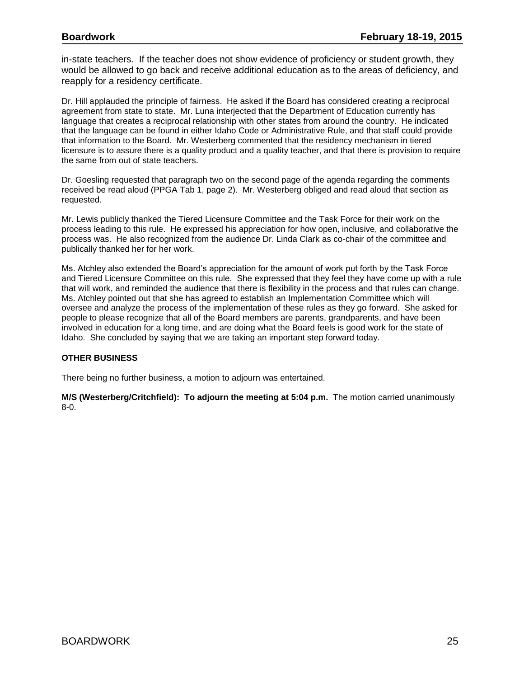in-state teachers. If the teacher does not show evidence of proficiency or student growth, they would be allowed to go back and receive additional education as to the areas of deficiency, and reapply for a residency certificate.

Dr. Hill applauded the principle of fairness. He asked if the Board has considered creating a reciprocal agreement from state to state. Mr. Luna interjected that the Department of Education currently has language that creates a reciprocal relationship with other states from around the country. He indicated that the language can be found in either Idaho Code or Administrative Rule, and that staff could provide that information to the Board. Mr. Westerberg commented that the residency mechanism in tiered licensure is to assure there is a quality product and a quality teacher, and that there is provision to require the same from out of state teachers.

Dr. Goesling requested that paragraph two on the second page of the agenda regarding the comments received be read aloud (PPGA Tab 1, page 2). Mr. Westerberg obliged and read aloud that section as requested.

Mr. Lewis publicly thanked the Tiered Licensure Committee and the Task Force for their work on the process leading to this rule. He expressed his appreciation for how open, inclusive, and collaborative the process was. He also recognized from the audience Dr. Linda Clark as co-chair of the committee and publically thanked her for her work.

Ms. Atchley also extended the Board's appreciation for the amount of work put forth by the Task Force and Tiered Licensure Committee on this rule. She expressed that they feel they have come up with a rule that will work, and reminded the audience that there is flexibility in the process and that rules can change. Ms. Atchley pointed out that she has agreed to establish an Implementation Committee which will oversee and analyze the process of the implementation of these rules as they go forward. She asked for people to please recognize that all of the Board members are parents, grandparents, and have been involved in education for a long time, and are doing what the Board feels is good work for the state of Idaho. She concluded by saying that we are taking an important step forward today.

# **OTHER BUSINESS**

There being no further business, a motion to adjourn was entertained.

**M/S (Westerberg/Critchfield): To adjourn the meeting at 5:04 p.m.** The motion carried unanimously 8-0.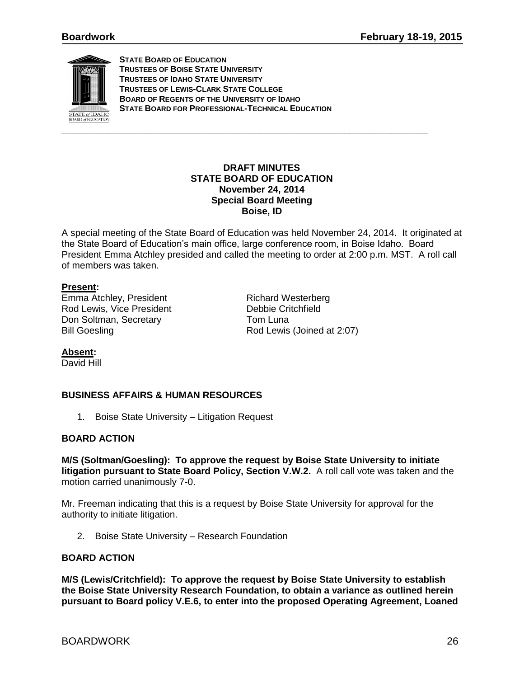

**STATE BOARD OF EDUCATION TRUSTEES OF BOISE STATE UNIVERSITY TRUSTEES OF IDAHO STATE UNIVERSITY TRUSTEES OF LEWIS-CLARK STATE COLLEGE BOARD OF REGENTS OF THE UNIVERSITY OF IDAHO STATE BOARD FOR PROFESSIONAL-TECHNICAL EDUCATION**

# **DRAFT MINUTES STATE BOARD OF EDUCATION November 24, 2014 Special Board Meeting Boise, ID**

A special meeting of the State Board of Education was held November 24, 2014. It originated at the State Board of Education's main office, large conference room, in Boise Idaho. Board President Emma Atchley presided and called the meeting to order at 2:00 p.m. MST. A roll call of members was taken.

# **Present:**

Emma Atchley, President Richard Westerberg Rod Lewis, Vice President **Debbie Critchfield** Don Soltman, Secretary Tom Luna Bill Goesling **Rod Lewis** (Joined at 2:07)

# **Absent:**

David Hill

# **BUSINESS AFFAIRS & HUMAN RESOURCES**

1. Boise State University – Litigation Request

# **BOARD ACTION**

**M/S (Soltman/Goesling): To approve the request by Boise State University to initiate litigation pursuant to State Board Policy, Section V.W.2.** A roll call vote was taken and the motion carried unanimously 7-0.

Mr. Freeman indicating that this is a request by Boise State University for approval for the authority to initiate litigation.

2. Boise State University – Research Foundation

# **BOARD ACTION**

**M/S (Lewis/Critchfield): To approve the request by Boise State University to establish the Boise State University Research Foundation, to obtain a variance as outlined herein pursuant to Board policy V.E.6, to enter into the proposed Operating Agreement, Loaned**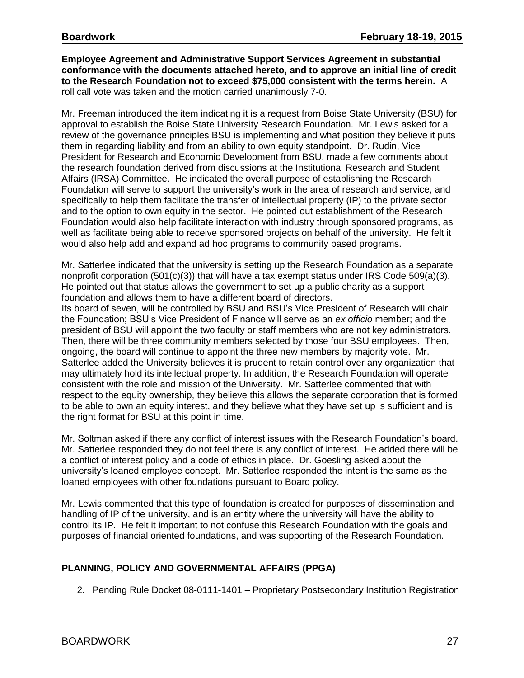**Employee Agreement and Administrative Support Services Agreement in substantial conformance with the documents attached hereto, and to approve an initial line of credit to the Research Foundation not to exceed \$75,000 consistent with the terms herein.** A roll call vote was taken and the motion carried unanimously 7-0.

Mr. Freeman introduced the item indicating it is a request from Boise State University (BSU) for approval to establish the Boise State University Research Foundation. Mr. Lewis asked for a review of the governance principles BSU is implementing and what position they believe it puts them in regarding liability and from an ability to own equity standpoint. Dr. Rudin, Vice President for Research and Economic Development from BSU, made a few comments about the research foundation derived from discussions at the Institutional Research and Student Affairs (IRSA) Committee. He indicated the overall purpose of establishing the Research Foundation will serve to support the university's work in the area of research and service, and specifically to help them facilitate the transfer of intellectual property (IP) to the private sector and to the option to own equity in the sector. He pointed out establishment of the Research Foundation would also help facilitate interaction with industry through sponsored programs, as well as facilitate being able to receive sponsored projects on behalf of the university. He felt it would also help add and expand ad hoc programs to community based programs.

Mr. Satterlee indicated that the university is setting up the Research Foundation as a separate nonprofit corporation  $(501(c)(3))$  that will have a tax exempt status under IRS Code 509(a)(3). He pointed out that status allows the government to set up a public charity as a support foundation and allows them to have a different board of directors.

Its board of seven, will be controlled by BSU and BSU's Vice President of Research will chair the Foundation; BSU's Vice President of Finance will serve as an *ex officio* member; and the president of BSU will appoint the two faculty or staff members who are not key administrators. Then, there will be three community members selected by those four BSU employees. Then, ongoing, the board will continue to appoint the three new members by majority vote. Mr. Satterlee added the University believes it is prudent to retain control over any organization that may ultimately hold its intellectual property. In addition, the Research Foundation will operate consistent with the role and mission of the University. Mr. Satterlee commented that with respect to the equity ownership, they believe this allows the separate corporation that is formed to be able to own an equity interest, and they believe what they have set up is sufficient and is the right format for BSU at this point in time.

Mr. Soltman asked if there any conflict of interest issues with the Research Foundation's board. Mr. Satterlee responded they do not feel there is any conflict of interest. He added there will be a conflict of interest policy and a code of ethics in place. Dr. Goesling asked about the university's loaned employee concept. Mr. Satterlee responded the intent is the same as the loaned employees with other foundations pursuant to Board policy.

Mr. Lewis commented that this type of foundation is created for purposes of dissemination and handling of IP of the university, and is an entity where the university will have the ability to control its IP. He felt it important to not confuse this Research Foundation with the goals and purposes of financial oriented foundations, and was supporting of the Research Foundation.

# **PLANNING, POLICY AND GOVERNMENTAL AFFAIRS (PPGA)**

2. Pending Rule Docket 08-0111-1401 – Proprietary Postsecondary Institution Registration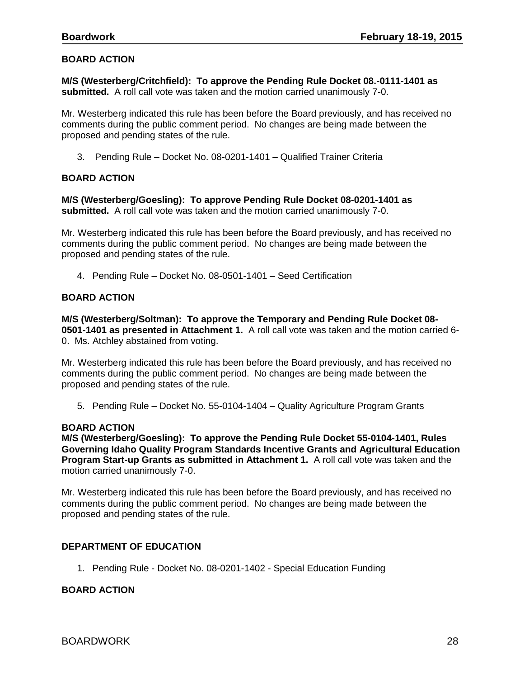# **BOARD ACTION**

**M/S (Westerberg/Critchfield): To approve the Pending Rule Docket 08.-0111-1401 as submitted.** A roll call vote was taken and the motion carried unanimously 7-0.

Mr. Westerberg indicated this rule has been before the Board previously, and has received no comments during the public comment period. No changes are being made between the proposed and pending states of the rule.

3. Pending Rule – Docket No. 08-0201-1401 – Qualified Trainer Criteria

# **BOARD ACTION**

**M/S (Westerberg/Goesling): To approve Pending Rule Docket 08-0201-1401 as submitted.** A roll call vote was taken and the motion carried unanimously 7-0.

Mr. Westerberg indicated this rule has been before the Board previously, and has received no comments during the public comment period. No changes are being made between the proposed and pending states of the rule.

4. Pending Rule – Docket No. 08-0501-1401 – Seed Certification

# **BOARD ACTION**

**M/S (Westerberg/Soltman): To approve the Temporary and Pending Rule Docket 08- 0501-1401 as presented in Attachment 1.** A roll call vote was taken and the motion carried 6- 0. Ms. Atchley abstained from voting.

Mr. Westerberg indicated this rule has been before the Board previously, and has received no comments during the public comment period. No changes are being made between the proposed and pending states of the rule.

5. Pending Rule – Docket No. 55-0104-1404 – Quality Agriculture Program Grants

# **BOARD ACTION**

**M/S (Westerberg/Goesling): To approve the Pending Rule Docket 55-0104-1401, Rules Governing Idaho Quality Program Standards Incentive Grants and Agricultural Education Program Start-up Grants as submitted in Attachment 1.** A roll call vote was taken and the motion carried unanimously 7-0.

Mr. Westerberg indicated this rule has been before the Board previously, and has received no comments during the public comment period. No changes are being made between the proposed and pending states of the rule.

# **DEPARTMENT OF EDUCATION**

1. Pending Rule - Docket No. 08-0201-1402 - Special Education Funding

# **BOARD ACTION**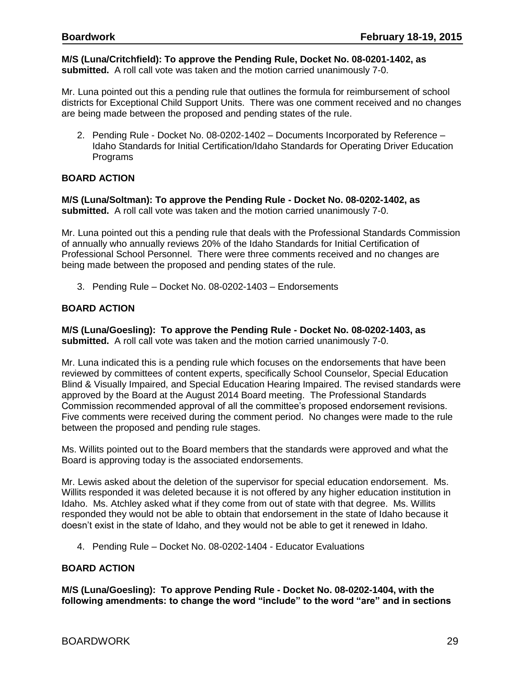**M/S (Luna/Critchfield): To approve the Pending Rule, Docket No. 08-0201-1402, as submitted.** A roll call vote was taken and the motion carried unanimously 7-0.

Mr. Luna pointed out this a pending rule that outlines the formula for reimbursement of school districts for Exceptional Child Support Units. There was one comment received and no changes are being made between the proposed and pending states of the rule.

2. Pending Rule - Docket No. 08-0202-1402 – Documents Incorporated by Reference – Idaho Standards for Initial Certification/Idaho Standards for Operating Driver Education Programs

# **BOARD ACTION**

**M/S (Luna/Soltman): To approve the Pending Rule - Docket No. 08-0202-1402, as submitted.** A roll call vote was taken and the motion carried unanimously 7-0.

Mr. Luna pointed out this a pending rule that deals with the Professional Standards Commission of annually who annually reviews 20% of the Idaho Standards for Initial Certification of Professional School Personnel. There were three comments received and no changes are being made between the proposed and pending states of the rule.

3. Pending Rule – Docket No. 08-0202-1403 – Endorsements

# **BOARD ACTION**

**M/S (Luna/Goesling): To approve the Pending Rule - Docket No. 08-0202-1403, as submitted.** A roll call vote was taken and the motion carried unanimously 7-0.

Mr. Luna indicated this is a pending rule which focuses on the endorsements that have been reviewed by committees of content experts, specifically School Counselor, Special Education Blind & Visually Impaired, and Special Education Hearing Impaired. The revised standards were approved by the Board at the August 2014 Board meeting. The Professional Standards Commission recommended approval of all the committee's proposed endorsement revisions. Five comments were received during the comment period. No changes were made to the rule between the proposed and pending rule stages.

Ms. Willits pointed out to the Board members that the standards were approved and what the Board is approving today is the associated endorsements.

Mr. Lewis asked about the deletion of the supervisor for special education endorsement. Ms. Willits responded it was deleted because it is not offered by any higher education institution in Idaho. Ms. Atchley asked what if they come from out of state with that degree. Ms. Willits responded they would not be able to obtain that endorsement in the state of Idaho because it doesn't exist in the state of Idaho, and they would not be able to get it renewed in Idaho.

4. Pending Rule – Docket No. 08-0202-1404 - Educator Evaluations

# **BOARD ACTION**

**M/S (Luna/Goesling): To approve Pending Rule - Docket No. 08-0202-1404, with the following amendments: to change the word "include" to the word "are" and in sections**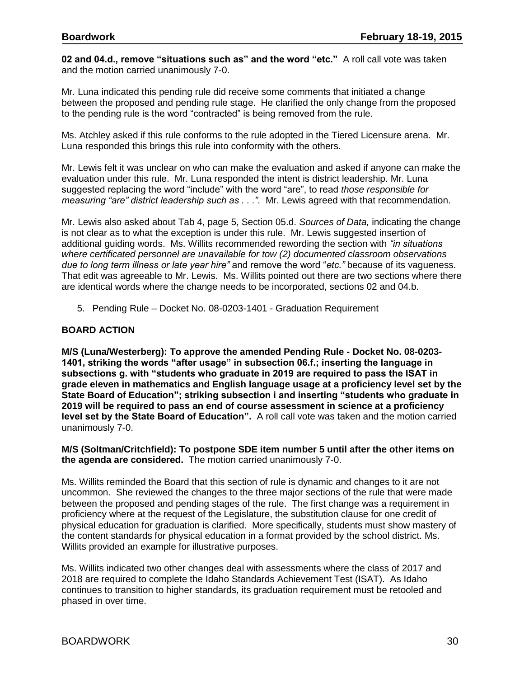**02 and 04.d., remove "situations such as" and the word "etc."** A roll call vote was taken and the motion carried unanimously 7-0.

Mr. Luna indicated this pending rule did receive some comments that initiated a change between the proposed and pending rule stage. He clarified the only change from the proposed to the pending rule is the word "contracted" is being removed from the rule.

Ms. Atchley asked if this rule conforms to the rule adopted in the Tiered Licensure arena. Mr. Luna responded this brings this rule into conformity with the others.

Mr. Lewis felt it was unclear on who can make the evaluation and asked if anyone can make the evaluation under this rule. Mr. Luna responded the intent is district leadership. Mr. Luna suggested replacing the word "include" with the word "are", to read *those responsible for measuring "are" district leadership such as . . ."*. Mr. Lewis agreed with that recommendation.

Mr. Lewis also asked about Tab 4, page 5, Section 05.d. *Sources of Data,* indicating the change is not clear as to what the exception is under this rule. Mr. Lewis suggested insertion of additional guiding words. Ms. Willits recommended rewording the section with *"in situations where certificated personnel are unavailable for tow (2) documented classroom observations due to long term illness or late year hire"* and remove the word "*etc."* because of its vagueness. That edit was agreeable to Mr. Lewis. Ms. Willits pointed out there are two sections where there are identical words where the change needs to be incorporated, sections 02 and 04.b.

5. Pending Rule – Docket No. 08-0203-1401 - Graduation Requirement

# **BOARD ACTION**

**M/S (Luna/Westerberg): To approve the amended Pending Rule - Docket No. 08-0203- 1401, striking the words "after usage" in subsection 06.f.; inserting the language in subsections g. with "students who graduate in 2019 are required to pass the ISAT in grade eleven in mathematics and English language usage at a proficiency level set by the State Board of Education"; striking subsection i and inserting "students who graduate in 2019 will be required to pass an end of course assessment in science at a proficiency level set by the State Board of Education".** A roll call vote was taken and the motion carried unanimously 7-0.

**M/S (Soltman/Critchfield): To postpone SDE item number 5 until after the other items on the agenda are considered.** The motion carried unanimously 7-0.

Ms. Willits reminded the Board that this section of rule is dynamic and changes to it are not uncommon. She reviewed the changes to the three major sections of the rule that were made between the proposed and pending stages of the rule. The first change was a requirement in proficiency where at the request of the Legislature, the substitution clause for one credit of physical education for graduation is clarified. More specifically, students must show mastery of the content standards for physical education in a format provided by the school district. Ms. Willits provided an example for illustrative purposes.

Ms. Willits indicated two other changes deal with assessments where the class of 2017 and 2018 are required to complete the Idaho Standards Achievement Test (ISAT). As Idaho continues to transition to higher standards, its graduation requirement must be retooled and phased in over time.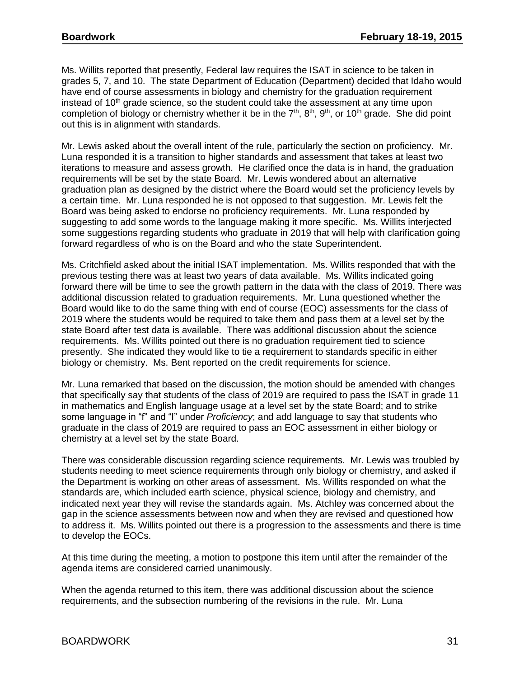Ms. Willits reported that presently, Federal law requires the ISAT in science to be taken in grades 5, 7, and 10. The state Department of Education (Department) decided that Idaho would have end of course assessments in biology and chemistry for the graduation requirement instead of  $10<sup>th</sup>$  grade science, so the student could take the assessment at any time upon completion of biology or chemistry whether it be in the  $7<sup>th</sup>$ ,  $8<sup>th</sup>$ ,  $9<sup>th</sup>$ , or  $10<sup>th</sup>$  grade. She did point out this is in alignment with standards.

Mr. Lewis asked about the overall intent of the rule, particularly the section on proficiency. Mr. Luna responded it is a transition to higher standards and assessment that takes at least two iterations to measure and assess growth. He clarified once the data is in hand, the graduation requirements will be set by the state Board. Mr. Lewis wondered about an alternative graduation plan as designed by the district where the Board would set the proficiency levels by a certain time. Mr. Luna responded he is not opposed to that suggestion. Mr. Lewis felt the Board was being asked to endorse no proficiency requirements. Mr. Luna responded by suggesting to add some words to the language making it more specific. Ms. Willits interjected some suggestions regarding students who graduate in 2019 that will help with clarification going forward regardless of who is on the Board and who the state Superintendent.

Ms. Critchfield asked about the initial ISAT implementation. Ms. Willits responded that with the previous testing there was at least two years of data available. Ms. Willits indicated going forward there will be time to see the growth pattern in the data with the class of 2019. There was additional discussion related to graduation requirements. Mr. Luna questioned whether the Board would like to do the same thing with end of course (EOC) assessments for the class of 2019 where the students would be required to take them and pass them at a level set by the state Board after test data is available. There was additional discussion about the science requirements. Ms. Willits pointed out there is no graduation requirement tied to science presently. She indicated they would like to tie a requirement to standards specific in either biology or chemistry. Ms. Bent reported on the credit requirements for science.

Mr. Luna remarked that based on the discussion, the motion should be amended with changes that specifically say that students of the class of 2019 are required to pass the ISAT in grade 11 in mathematics and English language usage at a level set by the state Board; and to strike some language in "f" and "I" under *Proficiency*; and add language to say that students who graduate in the class of 2019 are required to pass an EOC assessment in either biology or chemistry at a level set by the state Board.

There was considerable discussion regarding science requirements. Mr. Lewis was troubled by students needing to meet science requirements through only biology or chemistry, and asked if the Department is working on other areas of assessment. Ms. Willits responded on what the standards are, which included earth science, physical science, biology and chemistry, and indicated next year they will revise the standards again. Ms. Atchley was concerned about the gap in the science assessments between now and when they are revised and questioned how to address it. Ms. Willits pointed out there is a progression to the assessments and there is time to develop the EOCs.

At this time during the meeting, a motion to postpone this item until after the remainder of the agenda items are considered carried unanimously.

When the agenda returned to this item, there was additional discussion about the science requirements, and the subsection numbering of the revisions in the rule. Mr. Luna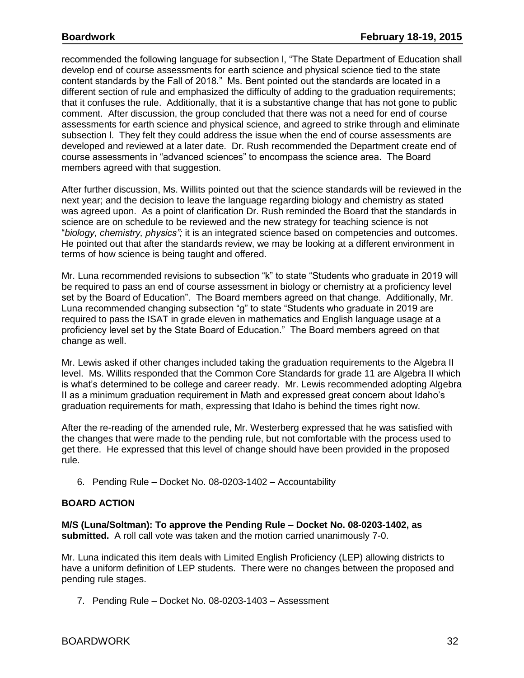recommended the following language for subsection l, "The State Department of Education shall develop end of course assessments for earth science and physical science tied to the state content standards by the Fall of 2018." Ms. Bent pointed out the standards are located in a different section of rule and emphasized the difficulty of adding to the graduation requirements; that it confuses the rule. Additionally, that it is a substantive change that has not gone to public comment. After discussion, the group concluded that there was not a need for end of course assessments for earth science and physical science, and agreed to strike through and eliminate subsection l. They felt they could address the issue when the end of course assessments are developed and reviewed at a later date. Dr. Rush recommended the Department create end of course assessments in "advanced sciences" to encompass the science area. The Board members agreed with that suggestion.

After further discussion, Ms. Willits pointed out that the science standards will be reviewed in the next year; and the decision to leave the language regarding biology and chemistry as stated was agreed upon. As a point of clarification Dr. Rush reminded the Board that the standards in science are on schedule to be reviewed and the new strategy for teaching science is not "*biology, chemistry, physics";* it is an integrated science based on competencies and outcomes. He pointed out that after the standards review, we may be looking at a different environment in terms of how science is being taught and offered.

Mr. Luna recommended revisions to subsection "k" to state "Students who graduate in 2019 will be required to pass an end of course assessment in biology or chemistry at a proficiency level set by the Board of Education". The Board members agreed on that change. Additionally, Mr. Luna recommended changing subsection "g" to state "Students who graduate in 2019 are required to pass the ISAT in grade eleven in mathematics and English language usage at a proficiency level set by the State Board of Education." The Board members agreed on that change as well.

Mr. Lewis asked if other changes included taking the graduation requirements to the Algebra II level. Ms. Willits responded that the Common Core Standards for grade 11 are Algebra II which is what's determined to be college and career ready. Mr. Lewis recommended adopting Algebra II as a minimum graduation requirement in Math and expressed great concern about Idaho's graduation requirements for math, expressing that Idaho is behind the times right now.

After the re-reading of the amended rule, Mr. Westerberg expressed that he was satisfied with the changes that were made to the pending rule, but not comfortable with the process used to get there. He expressed that this level of change should have been provided in the proposed rule.

6. Pending Rule – Docket No. 08-0203-1402 – Accountability

# **BOARD ACTION**

**M/S (Luna/Soltman): To approve the Pending Rule – Docket No. 08-0203-1402, as submitted.** A roll call vote was taken and the motion carried unanimously 7-0.

Mr. Luna indicated this item deals with Limited English Proficiency (LEP) allowing districts to have a uniform definition of LEP students. There were no changes between the proposed and pending rule stages.

7. Pending Rule – Docket No. 08-0203-1403 – Assessment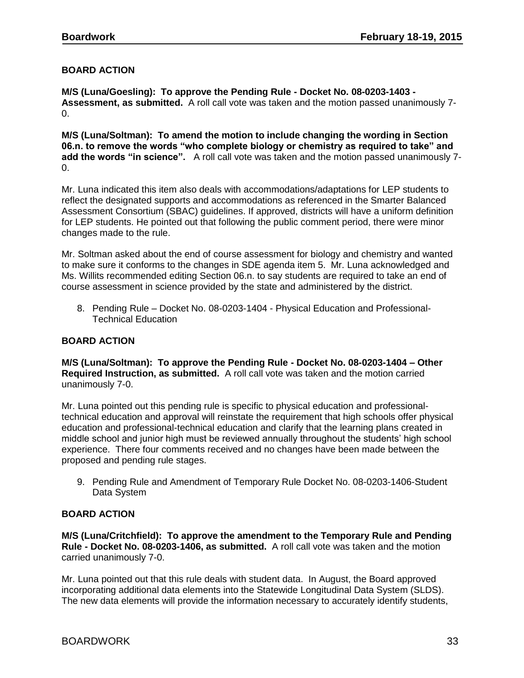# **BOARD ACTION**

**M/S (Luna/Goesling): To approve the Pending Rule - Docket No. 08-0203-1403 - Assessment, as submitted.** A roll call vote was taken and the motion passed unanimously 7-  $\Omega$ .

**M/S (Luna/Soltman): To amend the motion to include changing the wording in Section 06.n. to remove the words "who complete biology or chemistry as required to take" and add the words "in science".** A roll call vote was taken and the motion passed unanimously 7-  $\Omega$ 

Mr. Luna indicated this item also deals with accommodations/adaptations for LEP students to reflect the designated supports and accommodations as referenced in the Smarter Balanced Assessment Consortium (SBAC) guidelines. If approved, districts will have a uniform definition for LEP students. He pointed out that following the public comment period, there were minor changes made to the rule.

Mr. Soltman asked about the end of course assessment for biology and chemistry and wanted to make sure it conforms to the changes in SDE agenda item 5. Mr. Luna acknowledged and Ms. Willits recommended editing Section 06.n. to say students are required to take an end of course assessment in science provided by the state and administered by the district.

8. Pending Rule – Docket No. 08-0203-1404 - Physical Education and Professional-Technical Education

# **BOARD ACTION**

**M/S (Luna/Soltman): To approve the Pending Rule - Docket No. 08-0203-1404 – Other Required Instruction, as submitted.** A roll call vote was taken and the motion carried unanimously 7-0.

Mr. Luna pointed out this pending rule is specific to physical education and professionaltechnical education and approval will reinstate the requirement that high schools offer physical education and professional-technical education and clarify that the learning plans created in middle school and junior high must be reviewed annually throughout the students' high school experience. There four comments received and no changes have been made between the proposed and pending rule stages.

9. Pending Rule and Amendment of Temporary Rule Docket No. 08-0203-1406-Student Data System

# **BOARD ACTION**

**M/S (Luna/Critchfield): To approve the amendment to the Temporary Rule and Pending Rule - Docket No. 08-0203-1406, as submitted.** A roll call vote was taken and the motion carried unanimously 7-0.

Mr. Luna pointed out that this rule deals with student data. In August, the Board approved incorporating additional data elements into the Statewide Longitudinal Data System (SLDS). The new data elements will provide the information necessary to accurately identify students,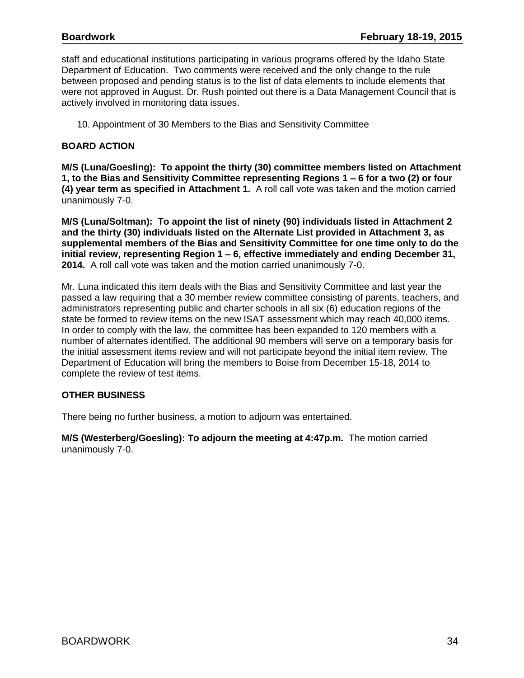staff and educational institutions participating in various programs offered by the Idaho State Department of Education. Two comments were received and the only change to the rule between proposed and pending status is to the list of data elements to include elements that were not approved in August. Dr. Rush pointed out there is a Data Management Council that is actively involved in monitoring data issues.

10. Appointment of 30 Members to the Bias and Sensitivity Committee

# **BOARD ACTION**

**M/S (Luna/Goesling): To appoint the thirty (30) committee members listed on Attachment 1, to the Bias and Sensitivity Committee representing Regions 1 – 6 for a two (2) or four (4) year term as specified in Attachment 1.** A roll call vote was taken and the motion carried unanimously 7-0.

**M/S (Luna/Soltman): To appoint the list of ninety (90) individuals listed in Attachment 2 and the thirty (30) individuals listed on the Alternate List provided in Attachment 3, as supplemental members of the Bias and Sensitivity Committee for one time only to do the initial review, representing Region 1 – 6, effective immediately and ending December 31, 2014.** A roll call vote was taken and the motion carried unanimously 7-0.

Mr. Luna indicated this item deals with the Bias and Sensitivity Committee and last year the passed a law requiring that a 30 member review committee consisting of parents, teachers, and administrators representing public and charter schools in all six (6) education regions of the state be formed to review items on the new ISAT assessment which may reach 40,000 items. In order to comply with the law, the committee has been expanded to 120 members with a number of alternates identified. The additional 90 members will serve on a temporary basis for the initial assessment items review and will not participate beyond the initial item review*.* The Department of Education will bring the members to Boise from December 15-18, 2014 to complete the review of test items.

# **OTHER BUSINESS**

There being no further business, a motion to adjourn was entertained.

**M/S (Westerberg/Goesling): To adjourn the meeting at 4:47p.m.** The motion carried unanimously 7-0.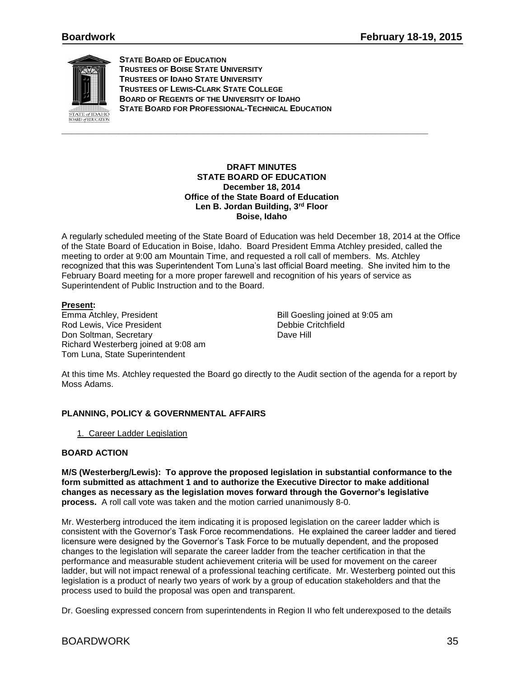

**STATE BOARD OF EDUCATION TRUSTEES OF BOISE STATE UNIVERSITY TRUSTEES OF IDAHO STATE UNIVERSITY TRUSTEES OF LEWIS-CLARK STATE COLLEGE BOARD OF REGENTS OF THE UNIVERSITY OF IDAHO STATE BOARD FOR PROFESSIONAL-TECHNICAL EDUCATION**

### **DRAFT MINUTES STATE BOARD OF EDUCATION December 18, 2014 Office of the State Board of Education Len B. Jordan Building, 3rd Floor Boise, Idaho**

A regularly scheduled meeting of the State Board of Education was held December 18, 2014 at the Office of the State Board of Education in Boise, Idaho. Board President Emma Atchley presided, called the meeting to order at 9:00 am Mountain Time, and requested a roll call of members. Ms. Atchley recognized that this was Superintendent Tom Luna's last official Board meeting. She invited him to the February Board meeting for a more proper farewell and recognition of his years of service as Superintendent of Public Instruction and to the Board.

**Present:**<br>Emma Atchley, President Rod Lewis, Vice President November 2012 1994 Debbie Critchfield Don Soltman, Secretary **Dave Hill** Richard Westerberg joined at 9:08 am Tom Luna, State Superintendent

Bill Goesling joined at 9:05 am

At this time Ms. Atchley requested the Board go directly to the Audit section of the agenda for a report by Moss Adams.

### **PLANNING, POLICY & GOVERNMENTAL AFFAIRS**

1. Career Ladder Legislation

### **BOARD ACTION**

**M/S (Westerberg/Lewis): To approve the proposed legislation in substantial conformance to the form submitted as attachment 1 and to authorize the Executive Director to make additional changes as necessary as the legislation moves forward through the Governor's legislative process.** A roll call vote was taken and the motion carried unanimously 8-0.

Mr. Westerberg introduced the item indicating it is proposed legislation on the career ladder which is consistent with the Governor's Task Force recommendations. He explained the career ladder and tiered licensure were designed by the Governor's Task Force to be mutually dependent, and the proposed changes to the legislation will separate the career ladder from the teacher certification in that the performance and measurable student achievement criteria will be used for movement on the career ladder, but will not impact renewal of a professional teaching certificate. Mr. Westerberg pointed out this legislation is a product of nearly two years of work by a group of education stakeholders and that the process used to build the proposal was open and transparent.

Dr. Goesling expressed concern from superintendents in Region II who felt underexposed to the details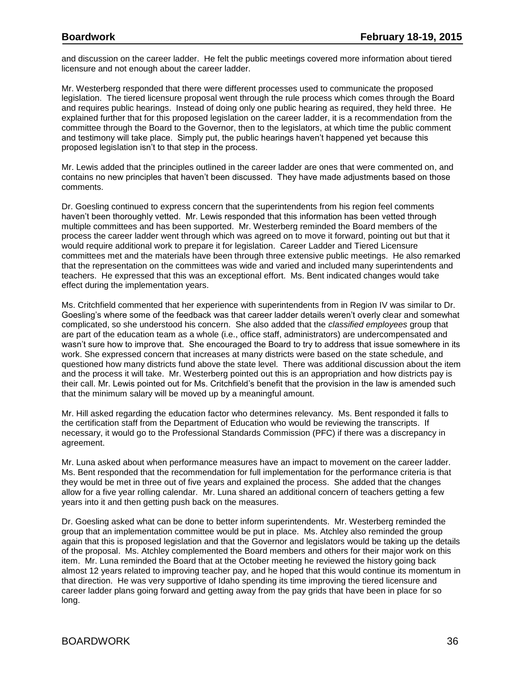and discussion on the career ladder. He felt the public meetings covered more information about tiered licensure and not enough about the career ladder.

Mr. Westerberg responded that there were different processes used to communicate the proposed legislation. The tiered licensure proposal went through the rule process which comes through the Board and requires public hearings. Instead of doing only one public hearing as required, they held three. He explained further that for this proposed legislation on the career ladder, it is a recommendation from the committee through the Board to the Governor, then to the legislators, at which time the public comment and testimony will take place. Simply put, the public hearings haven't happened yet because this proposed legislation isn't to that step in the process.

Mr. Lewis added that the principles outlined in the career ladder are ones that were commented on, and contains no new principles that haven't been discussed. They have made adjustments based on those comments.

Dr. Goesling continued to express concern that the superintendents from his region feel comments haven't been thoroughly vetted. Mr. Lewis responded that this information has been vetted through multiple committees and has been supported. Mr. Westerberg reminded the Board members of the process the career ladder went through which was agreed on to move it forward, pointing out but that it would require additional work to prepare it for legislation. Career Ladder and Tiered Licensure committees met and the materials have been through three extensive public meetings. He also remarked that the representation on the committees was wide and varied and included many superintendents and teachers. He expressed that this was an exceptional effort. Ms. Bent indicated changes would take effect during the implementation years.

Ms. Critchfield commented that her experience with superintendents from in Region IV was similar to Dr. Goesling's where some of the feedback was that career ladder details weren't overly clear and somewhat complicated, so she understood his concern. She also added that the *classified employees* group that are part of the education team as a whole (i.e., office staff, administrators) are undercompensated and wasn't sure how to improve that. She encouraged the Board to try to address that issue somewhere in its work. She expressed concern that increases at many districts were based on the state schedule, and questioned how many districts fund above the state level. There was additional discussion about the item and the process it will take. Mr. Westerberg pointed out this is an appropriation and how districts pay is their call. Mr. Lewis pointed out for Ms. Critchfield's benefit that the provision in the law is amended such that the minimum salary will be moved up by a meaningful amount.

Mr. Hill asked regarding the education factor who determines relevancy. Ms. Bent responded it falls to the certification staff from the Department of Education who would be reviewing the transcripts. If necessary, it would go to the Professional Standards Commission (PFC) if there was a discrepancy in agreement.

Mr. Luna asked about when performance measures have an impact to movement on the career ladder. Ms. Bent responded that the recommendation for full implementation for the performance criteria is that they would be met in three out of five years and explained the process. She added that the changes allow for a five year rolling calendar. Mr. Luna shared an additional concern of teachers getting a few years into it and then getting push back on the measures.

Dr. Goesling asked what can be done to better inform superintendents. Mr. Westerberg reminded the group that an implementation committee would be put in place. Ms. Atchley also reminded the group again that this is proposed legislation and that the Governor and legislators would be taking up the details of the proposal. Ms. Atchley complemented the Board members and others for their major work on this item. Mr. Luna reminded the Board that at the October meeting he reviewed the history going back almost 12 years related to improving teacher pay, and he hoped that this would continue its momentum in that direction. He was very supportive of Idaho spending its time improving the tiered licensure and career ladder plans going forward and getting away from the pay grids that have been in place for so long.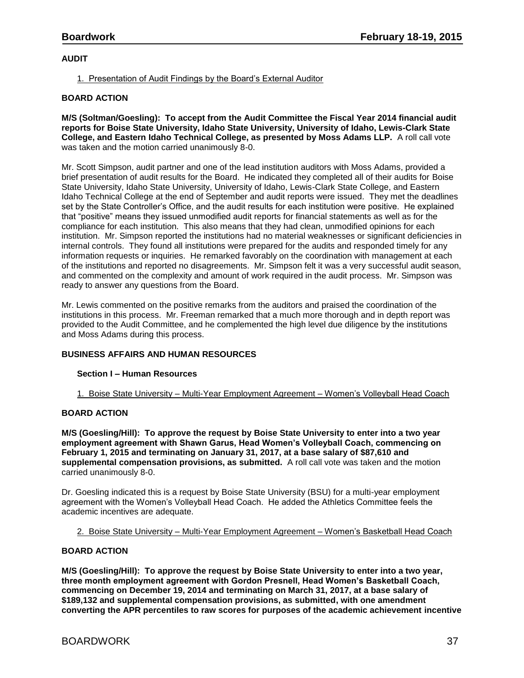# **AUDIT**

1. Presentation of Audit Findings by the Board's External Auditor

### **BOARD ACTION**

**M/S (Soltman/Goesling): To accept from the Audit Committee the Fiscal Year 2014 financial audit reports for Boise State University, Idaho State University, University of Idaho, Lewis-Clark State College, and Eastern Idaho Technical College, as presented by Moss Adams LLP.** A roll call vote was taken and the motion carried unanimously 8-0.

Mr. Scott Simpson, audit partner and one of the lead institution auditors with Moss Adams, provided a brief presentation of audit results for the Board. He indicated they completed all of their audits for Boise State University, Idaho State University, University of Idaho, Lewis-Clark State College, and Eastern Idaho Technical College at the end of September and audit reports were issued. They met the deadlines set by the State Controller's Office, and the audit results for each institution were positive. He explained that "positive" means they issued unmodified audit reports for financial statements as well as for the compliance for each institution. This also means that they had clean, unmodified opinions for each institution. Mr. Simpson reported the institutions had no material weaknesses or significant deficiencies in internal controls. They found all institutions were prepared for the audits and responded timely for any information requests or inquiries. He remarked favorably on the coordination with management at each of the institutions and reported no disagreements. Mr. Simpson felt it was a very successful audit season, and commented on the complexity and amount of work required in the audit process. Mr. Simpson was ready to answer any questions from the Board.

Mr. Lewis commented on the positive remarks from the auditors and praised the coordination of the institutions in this process. Mr. Freeman remarked that a much more thorough and in depth report was provided to the Audit Committee, and he complemented the high level due diligence by the institutions and Moss Adams during this process.

### **BUSINESS AFFAIRS AND HUMAN RESOURCES**

### **Section I – Human Resources**

1. Boise State University – Multi-Year Employment Agreement – Women's Volleyball Head Coach

### **BOARD ACTION**

**M/S (Goesling/Hill): To approve the request by Boise State University to enter into a two year employment agreement with Shawn Garus, Head Women's Volleyball Coach, commencing on February 1, 2015 and terminating on January 31, 2017, at a base salary of \$87,610 and supplemental compensation provisions, as submitted.** A roll call vote was taken and the motion carried unanimously 8-0.

Dr. Goesling indicated this is a request by Boise State University (BSU) for a multi-year employment agreement with the Women's Volleyball Head Coach. He added the Athletics Committee feels the academic incentives are adequate.

### 2. Boise State University – Multi-Year Employment Agreement – Women's Basketball Head Coach

### **BOARD ACTION**

**M/S (Goesling/Hill): To approve the request by Boise State University to enter into a two year, three month employment agreement with Gordon Presnell, Head Women's Basketball Coach, commencing on December 19, 2014 and terminating on March 31, 2017, at a base salary of \$189,132 and supplemental compensation provisions, as submitted, with one amendment converting the APR percentiles to raw scores for purposes of the academic achievement incentive**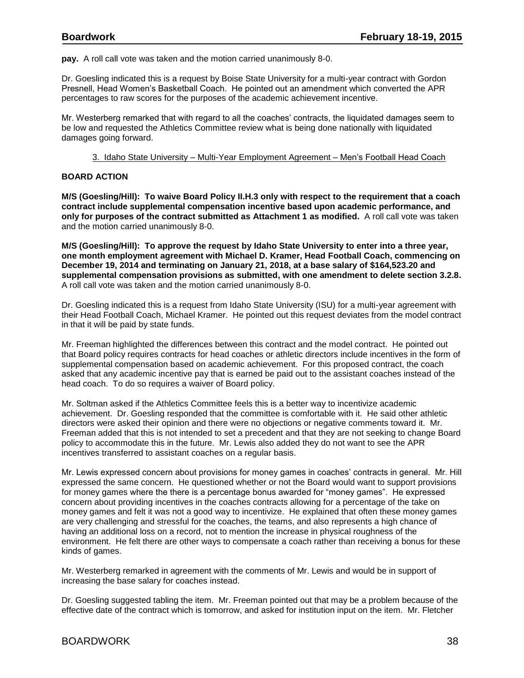**pay.** A roll call vote was taken and the motion carried unanimously 8-0.

Dr. Goesling indicated this is a request by Boise State University for a multi-year contract with Gordon Presnell, Head Women's Basketball Coach. He pointed out an amendment which converted the APR percentages to raw scores for the purposes of the academic achievement incentive.

Mr. Westerberg remarked that with regard to all the coaches' contracts, the liquidated damages seem to be low and requested the Athletics Committee review what is being done nationally with liquidated damages going forward.

3. Idaho State University – Multi-Year Employment Agreement – Men's Football Head Coach

#### **BOARD ACTION**

**M/S (Goesling/Hill): To waive Board Policy II.H.3 only with respect to the requirement that a coach contract include supplemental compensation incentive based upon academic performance, and only for purposes of the contract submitted as Attachment 1 as modified.** A roll call vote was taken and the motion carried unanimously 8-0.

**M/S (Goesling/Hill): To approve the request by Idaho State University to enter into a three year, one month employment agreement with Michael D. Kramer, Head Football Coach, commencing on December 19, 2014 and terminating on January 21, 2018, at a base salary of \$164,523.20 and supplemental compensation provisions as submitted, with one amendment to delete section 3.2.8.** A roll call vote was taken and the motion carried unanimously 8-0.

Dr. Goesling indicated this is a request from Idaho State University (ISU) for a multi-year agreement with their Head Football Coach, Michael Kramer. He pointed out this request deviates from the model contract in that it will be paid by state funds.

Mr. Freeman highlighted the differences between this contract and the model contract. He pointed out that Board policy requires contracts for head coaches or athletic directors include incentives in the form of supplemental compensation based on academic achievement. For this proposed contract, the coach asked that any academic incentive pay that is earned be paid out to the assistant coaches instead of the head coach. To do so requires a waiver of Board policy.

Mr. Soltman asked if the Athletics Committee feels this is a better way to incentivize academic achievement. Dr. Goesling responded that the committee is comfortable with it. He said other athletic directors were asked their opinion and there were no objections or negative comments toward it. Mr. Freeman added that this is not intended to set a precedent and that they are not seeking to change Board policy to accommodate this in the future. Mr. Lewis also added they do not want to see the APR incentives transferred to assistant coaches on a regular basis.

Mr. Lewis expressed concern about provisions for money games in coaches' contracts in general. Mr. Hill expressed the same concern. He questioned whether or not the Board would want to support provisions for money games where the there is a percentage bonus awarded for "money games". He expressed concern about providing incentives in the coaches contracts allowing for a percentage of the take on money games and felt it was not a good way to incentivize. He explained that often these money games are very challenging and stressful for the coaches, the teams, and also represents a high chance of having an additional loss on a record, not to mention the increase in physical roughness of the environment. He felt there are other ways to compensate a coach rather than receiving a bonus for these kinds of games.

Mr. Westerberg remarked in agreement with the comments of Mr. Lewis and would be in support of increasing the base salary for coaches instead.

Dr. Goesling suggested tabling the item. Mr. Freeman pointed out that may be a problem because of the effective date of the contract which is tomorrow, and asked for institution input on the item. Mr. Fletcher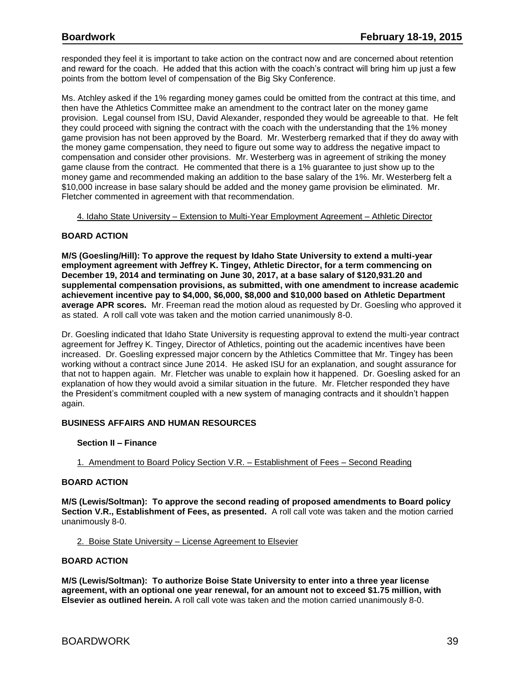responded they feel it is important to take action on the contract now and are concerned about retention and reward for the coach. He added that this action with the coach's contract will bring him up just a few points from the bottom level of compensation of the Big Sky Conference.

Ms. Atchley asked if the 1% regarding money games could be omitted from the contract at this time, and then have the Athletics Committee make an amendment to the contract later on the money game provision. Legal counsel from ISU, David Alexander, responded they would be agreeable to that. He felt they could proceed with signing the contract with the coach with the understanding that the 1% money game provision has not been approved by the Board. Mr. Westerberg remarked that if they do away with the money game compensation, they need to figure out some way to address the negative impact to compensation and consider other provisions. Mr. Westerberg was in agreement of striking the money game clause from the contract. He commented that there is a 1% guarantee to just show up to the money game and recommended making an addition to the base salary of the 1%. Mr. Westerberg felt a \$10,000 increase in base salary should be added and the money game provision be eliminated. Mr. Fletcher commented in agreement with that recommendation.

4. Idaho State University – Extension to Multi-Year Employment Agreement – Athletic Director

# **BOARD ACTION**

**M/S (Goesling/Hill): To approve the request by Idaho State University to extend a multi-year employment agreement with Jeffrey K. Tingey, Athletic Director, for a term commencing on December 19, 2014 and terminating on June 30, 2017, at a base salary of \$120,931.20 and supplemental compensation provisions, as submitted, with one amendment to increase academic achievement incentive pay to \$4,000, \$6,000, \$8,000 and \$10,000 based on Athletic Department average APR scores.** Mr. Freeman read the motion aloud as requested by Dr. Goesling who approved it as stated. A roll call vote was taken and the motion carried unanimously 8-0.

Dr. Goesling indicated that Idaho State University is requesting approval to extend the multi-year contract agreement for Jeffrey K. Tingey, Director of Athletics, pointing out the academic incentives have been increased. Dr. Goesling expressed major concern by the Athletics Committee that Mr. Tingey has been working without a contract since June 2014. He asked ISU for an explanation, and sought assurance for that not to happen again. Mr. Fletcher was unable to explain how it happened. Dr. Goesling asked for an explanation of how they would avoid a similar situation in the future. Mr. Fletcher responded they have the President's commitment coupled with a new system of managing contracts and it shouldn't happen again.

# **BUSINESS AFFAIRS AND HUMAN RESOURCES**

### **Section II – Finance**

1. Amendment to Board Policy Section V.R. – Establishment of Fees – Second Reading

### **BOARD ACTION**

**M/S (Lewis/Soltman): To approve the second reading of proposed amendments to Board policy Section V.R., Establishment of Fees, as presented.** A roll call vote was taken and the motion carried unanimously 8-0.

### 2. Boise State University – License Agreement to Elsevier

# **BOARD ACTION**

**M/S (Lewis/Soltman): To authorize Boise State University to enter into a three year license agreement, with an optional one year renewal, for an amount not to exceed \$1.75 million, with Elsevier as outlined herein.** A roll call vote was taken and the motion carried unanimously 8-0.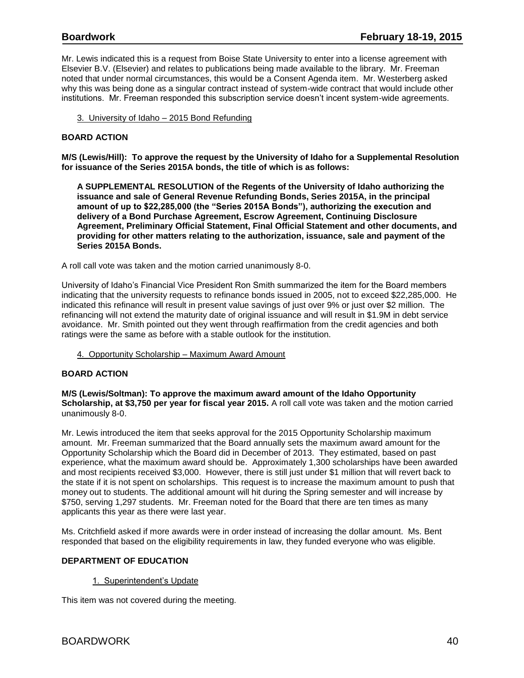Mr. Lewis indicated this is a request from Boise State University to enter into a license agreement with Elsevier B.V. (Elsevier) and relates to publications being made available to the library. Mr. Freeman noted that under normal circumstances, this would be a Consent Agenda item. Mr. Westerberg asked why this was being done as a singular contract instead of system-wide contract that would include other institutions. Mr. Freeman responded this subscription service doesn't incent system-wide agreements.

# 3. University of Idaho – 2015 Bond Refunding

## **BOARD ACTION**

**M/S (Lewis/Hill): To approve the request by the University of Idaho for a Supplemental Resolution for issuance of the Series 2015A bonds, the title of which is as follows:**

**A SUPPLEMENTAL RESOLUTION of the Regents of the University of Idaho authorizing the issuance and sale of General Revenue Refunding Bonds, Series 2015A, in the principal amount of up to \$22,285,000 (the "Series 2015A Bonds"), authorizing the execution and delivery of a Bond Purchase Agreement, Escrow Agreement, Continuing Disclosure Agreement, Preliminary Official Statement, Final Official Statement and other documents, and providing for other matters relating to the authorization, issuance, sale and payment of the Series 2015A Bonds.** 

A roll call vote was taken and the motion carried unanimously 8-0.

University of Idaho's Financial Vice President Ron Smith summarized the item for the Board members indicating that the university requests to refinance bonds issued in 2005, not to exceed \$22,285,000. He indicated this refinance will result in present value savings of just over 9% or just over \$2 million. The refinancing will not extend the maturity date of original issuance and will result in \$1.9M in debt service avoidance. Mr. Smith pointed out they went through reaffirmation from the credit agencies and both ratings were the same as before with a stable outlook for the institution.

4. Opportunity Scholarship – Maximum Award Amount

### **BOARD ACTION**

**M/S (Lewis/Soltman): To approve the maximum award amount of the Idaho Opportunity Scholarship, at \$3,750 per year for fiscal year 2015.** A roll call vote was taken and the motion carried unanimously 8-0.

Mr. Lewis introduced the item that seeks approval for the 2015 Opportunity Scholarship maximum amount. Mr. Freeman summarized that the Board annually sets the maximum award amount for the Opportunity Scholarship which the Board did in December of 2013. They estimated, based on past experience, what the maximum award should be. Approximately 1,300 scholarships have been awarded and most recipients received \$3,000. However, there is still just under \$1 million that will revert back to the state if it is not spent on scholarships. This request is to increase the maximum amount to push that money out to students. The additional amount will hit during the Spring semester and will increase by \$750, serving 1,297 students. Mr. Freeman noted for the Board that there are ten times as many applicants this year as there were last year.

Ms. Critchfield asked if more awards were in order instead of increasing the dollar amount. Ms. Bent responded that based on the eligibility requirements in law, they funded everyone who was eligible.

### **DEPARTMENT OF EDUCATION**

### 1. Superintendent's Update

This item was not covered during the meeting.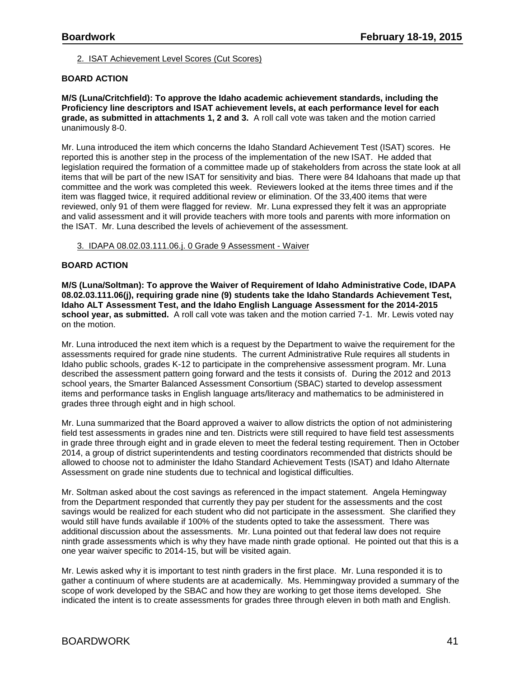2. ISAT Achievement Level Scores (Cut Scores)

## **BOARD ACTION**

**M/S (Luna/Critchfield): To approve the Idaho academic achievement standards, including the Proficiency line descriptors and ISAT achievement levels, at each performance level for each grade, as submitted in attachments 1, 2 and 3.** A roll call vote was taken and the motion carried unanimously 8-0.

Mr. Luna introduced the item which concerns the Idaho Standard Achievement Test (ISAT) scores. He reported this is another step in the process of the implementation of the new ISAT. He added that legislation required the formation of a committee made up of stakeholders from across the state look at all items that will be part of the new ISAT for sensitivity and bias. There were 84 Idahoans that made up that committee and the work was completed this week. Reviewers looked at the items three times and if the item was flagged twice, it required additional review or elimination. Of the 33,400 items that were reviewed, only 91 of them were flagged for review. Mr. Luna expressed they felt it was an appropriate and valid assessment and it will provide teachers with more tools and parents with more information on the ISAT. Mr. Luna described the levels of achievement of the assessment.

#### 3. IDAPA 08.02.03.111.06.j. 0 Grade 9 Assessment - Waiver

### **BOARD ACTION**

**M/S (Luna/Soltman): To approve the Waiver of Requirement of Idaho Administrative Code, IDAPA 08.02.03.111.06(j), requiring grade nine (9) students take the Idaho Standards Achievement Test, Idaho ALT Assessment Test, and the Idaho English Language Assessment for the 2014-2015 school year, as submitted.** A roll call vote was taken and the motion carried 7-1. Mr. Lewis voted nay on the motion.

Mr. Luna introduced the next item which is a request by the Department to waive the requirement for the assessments required for grade nine students. The current Administrative Rule requires all students in Idaho public schools, grades K-12 to participate in the comprehensive assessment program. Mr. Luna described the assessment pattern going forward and the tests it consists of. During the 2012 and 2013 school years, the Smarter Balanced Assessment Consortium (SBAC) started to develop assessment items and performance tasks in English language arts/literacy and mathematics to be administered in grades three through eight and in high school.

Mr. Luna summarized that the Board approved a waiver to allow districts the option of not administering field test assessments in grades nine and ten. Districts were still required to have field test assessments in grade three through eight and in grade eleven to meet the federal testing requirement. Then in October 2014, a group of district superintendents and testing coordinators recommended that districts should be allowed to choose not to administer the Idaho Standard Achievement Tests (ISAT) and Idaho Alternate Assessment on grade nine students due to technical and logistical difficulties.

Mr. Soltman asked about the cost savings as referenced in the impact statement. Angela Hemingway from the Department responded that currently they pay per student for the assessments and the cost savings would be realized for each student who did not participate in the assessment. She clarified they would still have funds available if 100% of the students opted to take the assessment. There was additional discussion about the assessments. Mr. Luna pointed out that federal law does not require ninth grade assessments which is why they have made ninth grade optional. He pointed out that this is a one year waiver specific to 2014-15, but will be visited again.

Mr. Lewis asked why it is important to test ninth graders in the first place. Mr. Luna responded it is to gather a continuum of where students are at academically. Ms. Hemmingway provided a summary of the scope of work developed by the SBAC and how they are working to get those items developed. She indicated the intent is to create assessments for grades three through eleven in both math and English.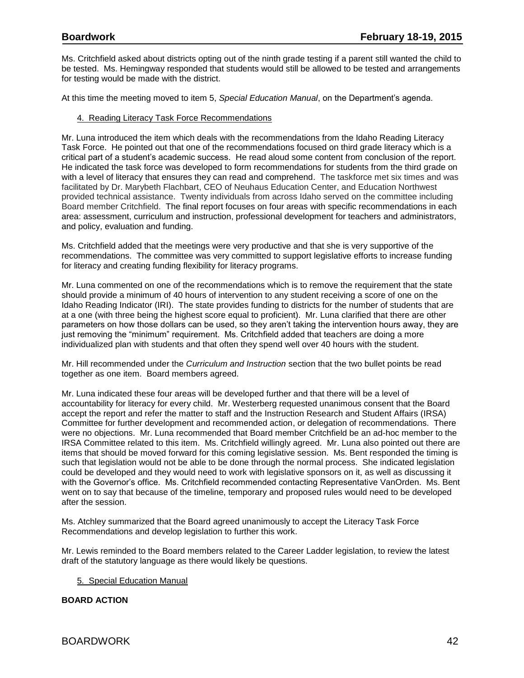Ms. Critchfield asked about districts opting out of the ninth grade testing if a parent still wanted the child to be tested. Ms. Hemingway responded that students would still be allowed to be tested and arrangements for testing would be made with the district.

At this time the meeting moved to item 5, *Special Education Manual*, on the Department's agenda.

## 4. Reading Literacy Task Force Recommendations

Mr. Luna introduced the item which deals with the recommendations from the Idaho Reading Literacy Task Force. He pointed out that one of the recommendations focused on third grade literacy which is a critical part of a student's academic success. He read aloud some content from conclusion of the report. He indicated the task force was developed to form recommendations for students from the third grade on with a level of literacy that ensures they can read and comprehend. The taskforce met six times and was facilitated by Dr. Marybeth Flachbart, CEO of Neuhaus Education Center, and Education Northwest provided technical assistance. Twenty individuals from across Idaho served on the committee including Board member Critchfield. The final report focuses on four areas with specific recommendations in each area: assessment, curriculum and instruction, professional development for teachers and administrators, and policy, evaluation and funding.

Ms. Critchfield added that the meetings were very productive and that she is very supportive of the recommendations. The committee was very committed to support legislative efforts to increase funding for literacy and creating funding flexibility for literacy programs.

Mr. Luna commented on one of the recommendations which is to remove the requirement that the state should provide a minimum of 40 hours of intervention to any student receiving a score of one on the Idaho Reading Indicator (IRI). The state provides funding to districts for the number of students that are at a one (with three being the highest score equal to proficient). Mr. Luna clarified that there are other parameters on how those dollars can be used, so they aren't taking the intervention hours away, they are just removing the "minimum" requirement. Ms. Critchfield added that teachers are doing a more individualized plan with students and that often they spend well over 40 hours with the student.

Mr. Hill recommended under the *Curriculum and Instruction* section that the two bullet points be read together as one item. Board members agreed.

Mr. Luna indicated these four areas will be developed further and that there will be a level of accountability for literacy for every child. Mr. Westerberg requested unanimous consent that the Board accept the report and refer the matter to staff and the Instruction Research and Student Affairs (IRSA) Committee for further development and recommended action, or delegation of recommendations. There were no objections. Mr. Luna recommended that Board member Critchfield be an ad-hoc member to the IRSA Committee related to this item. Ms. Critchfield willingly agreed. Mr. Luna also pointed out there are items that should be moved forward for this coming legislative session. Ms. Bent responded the timing is such that legislation would not be able to be done through the normal process. She indicated legislation could be developed and they would need to work with legislative sponsors on it, as well as discussing it with the Governor's office. Ms. Critchfield recommended contacting Representative VanOrden. Ms. Bent went on to say that because of the timeline, temporary and proposed rules would need to be developed after the session.

Ms. Atchley summarized that the Board agreed unanimously to accept the Literacy Task Force Recommendations and develop legislation to further this work.

Mr. Lewis reminded to the Board members related to the Career Ladder legislation, to review the latest draft of the statutory language as there would likely be questions.

### 5. Special Education Manual

# **BOARD ACTION**

BOARDWORK 42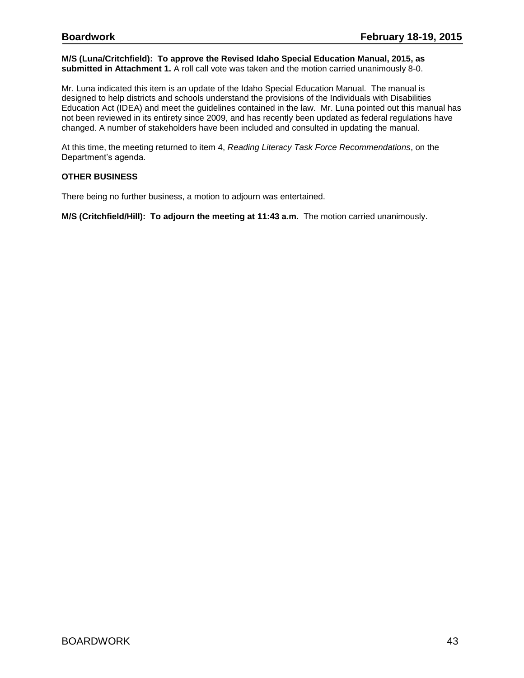**M/S (Luna/Critchfield): To approve the Revised Idaho Special Education Manual, 2015, as submitted in Attachment 1.** A roll call vote was taken and the motion carried unanimously 8-0.

Mr. Luna indicated this item is an update of the Idaho Special Education Manual. The manual is designed to help districts and schools understand the provisions of the Individuals with Disabilities Education Act (IDEA) and meet the guidelines contained in the law. Mr. Luna pointed out this manual has not been reviewed in its entirety since 2009, and has recently been updated as federal regulations have changed. A number of stakeholders have been included and consulted in updating the manual.

At this time, the meeting returned to item 4, *Reading Literacy Task Force Recommendations*, on the Department's agenda.

## **OTHER BUSINESS**

There being no further business, a motion to adjourn was entertained.

**M/S (Critchfield/Hill): To adjourn the meeting at 11:43 a.m.** The motion carried unanimously.